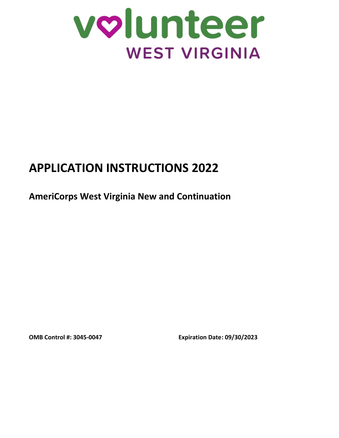

# **APPLICATION INSTRUCTIONS 2022**

**AmeriCorps West Virginia New and Continuation**

**OMB Control #: 3045-0047 Expiration Date: 09/30/2023**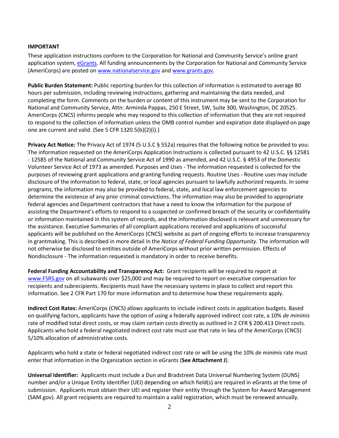#### **IMPORTANT**

These application instructions conform to the Corporation for National and Community Service's online grant application system, [eGrants.](https://egrants.cns.gov/espan/main/login.jsp) All funding announcements by the Corporation for National and Community Service (AmeriCorps) are posted o[n www.nationalservice.gov](http://www.nationalservice.gov/) and [www.grants.gov.](http://www.grants.gov/)

**Public Burden Statement:** Public reporting burden for this collection of information is estimated to average 80 hours per submission, including reviewing instructions, gathering and maintaining the data needed, and completing the form. Comments on the burden or content of this instrument may be sent to the Corporation for National and Community Service, Attn: Arminda Pappas, 250 E Street, SW, Suite 300, Washington, DC 20525. AmeriCorps (CNCS) informs people who may respond to this collection of information that they are not required to respond to the collection of information unless the OMB control number and expiration date displayed on page one are current and valid. (See 5 CFR 1320.5(b)(2)(i).)

**Privacy Act Notice:** The Privacy Act of 1974 (5 U.S.C § 552a) requires that the following notice be provided to you: The information requested on the AmeriCorps Application Instructions is collected pursuant to 42 U.S.C. §§ 12581 - 12585 of the National and Community Service Act of 1990 as amended, and 42 U.S.C. § 4953 of the Domestic Volunteer Service Act of 1973 as amended. Purposes and Uses - The information requested is collected for the purposes of reviewing grant applications and granting funding requests. Routine Uses - Routine uses may include disclosure of the information to federal, state, or local agencies pursuant to lawfully authorized requests. In some programs, the information may also be provided to federal, state, and local law enforcement agencies to determine the existence of any prior criminal convictions. The information may also be provided to appropriate federal agencies and Department contractors that have a need to know the information for the purpose of assisting the Department's efforts to respond to a suspected or confirmed breach of the security or confidentiality or information maintained in this system of records, and the information disclosed is relevant and unnecessary for the assistance. Executive Summaries of all compliant applications received and applications of successful applicants will be published on the AmeriCorps (CNCS) website as part of ongoing efforts to increase transparency in grantmaking. This is described in more detail in the *Notice of Federal Funding Opportunity.* The information will not otherwise be disclosed to entities outside of AmeriCorps without prior written permission. Effects of Nondisclosure - The information requested is mandatory in order to receive benefits.

**Federal Funding Accountability and Transparency Act:** Grant recipients will be required to report at [www.FSRS.gov](http://www.fsrs.gov/) on all subawards over \$25,000 and may be required to report on executive compensation for recipients and subrecipients. Recipients must have the necessary systems in place to collect and report this information. See 2 CFR Part 170 for more information and to determine how these requirements apply.

**Indirect Cost Rates:** AmeriCorps (CNCS) allows applicants to include indirect costs in application budgets. Based on qualifying factors, applicants have the option of using a federally approved indirect cost rate, a 10% *de minimis* rate of modified total direct costs, or may claim certain costs directly as outlined in 2 CFR § 200.413 Direct costs. Applicants who hold a federal negotiated indirect cost rate must use that rate in lieu of the AmeriCorps (CNCS) 5/10% allocation of administrative costs.

Applicants who hold a state or federal negotiated indirect cost rate or will be using the 10% *de minimis* rate must enter that information in the Organization section in eGrants (**See Attachment J**).

**Universal Identifier:** Applicants must include a Dun and Bradstreet Data Universal Numbering System (DUNS) number and/or a Unique Entity Identifier (UEI) depending on which field(s) are required in eGrants at the time of submission. Applicants must obtain their UEI and register their entity through the System for Award Management (SAM.gov). All grant recipients are required to maintain a valid registration, which must be renewed annually.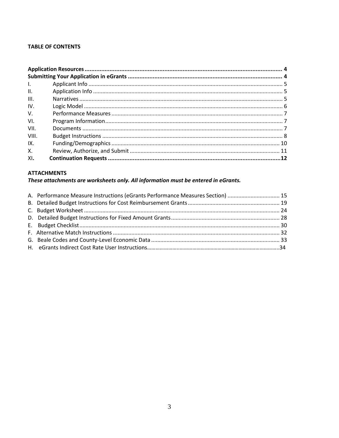## **TABLE OF CONTENTS**

| $\mathbf{L}$ |  |
|--------------|--|
| II.          |  |
| III.         |  |
| IV.          |  |
| V.           |  |
| VI.          |  |
| VII.         |  |
| VIII.        |  |
| IX.          |  |
| X.           |  |
| XI.          |  |

## **ATTACHMENTS**

# These attachments are worksheets only. All information must be entered in eGrants.

| A. Performance Measure Instructions (eGrants Performance Measures Section)  15 |  |
|--------------------------------------------------------------------------------|--|
|                                                                                |  |
|                                                                                |  |
|                                                                                |  |
|                                                                                |  |
|                                                                                |  |
|                                                                                |  |
|                                                                                |  |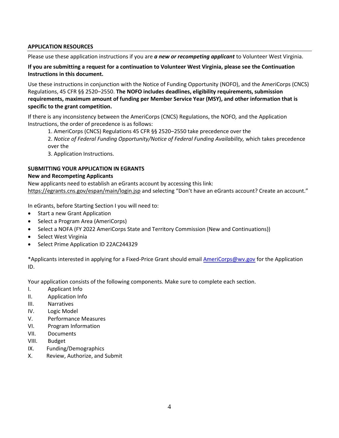### **APPLICATION RESOURCES**

Please use these application instructions if you are *a new or recompeting applicant* to Volunteer West Virginia.

**If you are submitting a request for a continuation to Volunteer West Virginia, please see the Continuation Instructions in this document.**

Use these instructions in conjunction with the Notice of Funding Opportunity (NOFO), and the AmeriCorps (CNCS) Regulations, 45 CFR §§ 2520–2550. **The NOFO includes deadlines, eligibility requirements, submission requirements, maximum amount of funding per Member Service Year (MSY), and other information that is specific to the grant competition.** 

If there is any inconsistency between the AmeriCorps (CNCS) Regulations, the NOFO*,* and the Application Instructions, the order of precedence is as follows:

1. AmeriCorps (CNCS) Regulations 45 CFR §§ 2520–2550 take precedence over the

2. *Notice of Federal Funding Opportunity/Notice of Federal Funding Availability,* which takes precedence over the

3. Application Instructions.

## **SUBMITTING YOUR APPLICATION IN EGRANTS**

#### **New and Recompeting Applicants**

New applicants need to establish an eGrants account by accessing this link: <https://egrants.cns.gov/espan/main/login.jsp> and selecting "Don't have an eGrants account? Create an account."

In eGrants, before Starting Section I you will need to:

- Start a new Grant Application
- Select a Program Area (AmeriCorps)
- Select a NOFA (FY 2022 AmeriCorps State and Territory Commission (New and Continuations))
- Select West Virginia
- Select Prime Application ID 22AC244329

\*Applicants interested in applying for a Fixed-Price Grant should email [AmeriCorps@wv.gov](mailto:AmeriCorps@wv.gov) for the Application ID.

Your application consists of the following components. Make sure to complete each section.

- I. Applicant Info
- II. Application Info
- III. Narratives
- IV. Logic Model
- V. Performance Measures
- VI. Program Information
- VII. Documents
- VIII. Budget
- IX. Funding/Demographics
- X. Review, Authorize, and Submit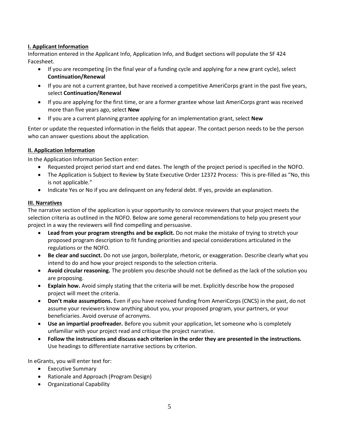# **I. Applicant Information**

Information entered in the Applicant Info, Application Info, and Budget sections will populate the SF 424 Facesheet.

- If you are recompeting (in the final year of a funding cycle and applying for a new grant cycle), select **Continuation/Renewal**
- If you are not a current grantee, but have received a competitive AmeriCorps grant in the past five years, select **Continuation/Renewal**
- If you are applying for the first time, or are a former grantee whose last AmeriCorps grant was received more than five years ago, select **New**
- If you are a current planning grantee applying for an implementation grant, select **New**

Enter or update the requested information in the fields that appear. The contact person needs to be the person who can answer questions about the application.

## **II. Application Information**

In the Application Information Section enter:

- Requested project period start and end dates. The length of the project period is specified in the NOFO.
- The Application is Subject to Review by State Executive Order 12372 Process: This is pre-filled as "No, this is not applicable."
- Indicate Yes or No if you are delinquent on any federal debt. If yes, provide an explanation.

## **III. Narratives**

The narrative section of the application is your opportunity to convince reviewers that your project meets the selection criteria as outlined in the NOFO. Below are some general recommendations to help you present your project in a way the reviewers will find compelling and persuasive.

- **Lead from your program strengths and be explicit.** Do not make the mistake of trying to stretch your proposed program description to fit funding priorities and special considerations articulated in the regulations or the NOFO*.*
- **Be clear and succinct.** Do not use jargon, boilerplate, rhetoric, or exaggeration. Describe clearly what you intend to do and how your project responds to the selection criteria.
- **Avoid circular reasoning.** The problem you describe should not be defined as the lack of the solution you are proposing.
- **Explain how.** Avoid simply stating that the criteria will be met. Explicitly describe how the proposed project will meet the criteria.
- **Don't make assumptions.** Even if you have received funding from AmeriCorps (CNCS) in the past, do not assume your reviewers know anything about you, your proposed program, your partners, or your beneficiaries. Avoid overuse of acronyms.
- **Use an impartial proofreader.** Before you submit your application, let someone who is completely unfamiliar with your project read and critique the project narrative.
- **Follow the instructions and discuss each criterion in the order they are presented in the instructions.**  Use headings to differentiate narrative sections by criterion.

In eGrants, you will enter text for:

- Executive Summary
- Rationale and Approach (Program Design)
- Organizational Capability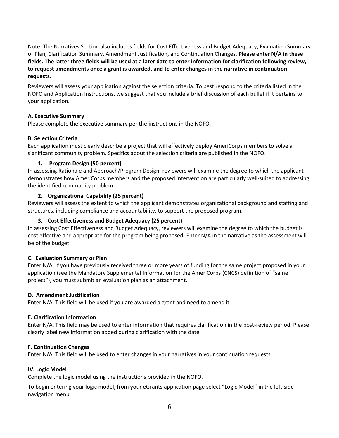Note: The Narratives Section also includes fields for Cost Effectiveness and Budget Adequacy, Evaluation Summary or Plan, Clarification Summary, Amendment Justification, and Continuation Changes. **Please enter N/A in these fields. The latter three fields will be used at a later date to enter information for clarification following review, to request amendments once a grant is awarded, and to enter changes in the narrative in continuation requests.** 

Reviewers will assess your application against the selection criteria. To best respond to the criteria listed in the NOFO and Application Instructions, we suggest that you include a brief discussion of each bullet if it pertains to your application.

#### **A. Executive Summary**

Please complete the executive summary per the instructions in the NOFO.

## **B. Selection Criteria**

Each application must clearly describe a project that will effectively deploy AmeriCorps members to solve a significant community problem. Specifics about the selection criteria are published in the NOFO.

## **1. Program Design (50 percent)**

In assessing Rationale and Approach/Program Design, reviewers will examine the degree to which the applicant demonstrates how AmeriCorps members and the proposed intervention are particularly well-suited to addressing the identified community problem.

## **2. Organizational Capability (25 percent)**

Reviewers will assess the extent to which the applicant demonstrates organizational background and staffing and structures, including compliance and accountability, to support the proposed program.

## **3. Cost Effectiveness and Budget Adequacy (25 percent)**

In assessing Cost Effectiveness and Budget Adequacy, reviewers will examine the degree to which the budget is cost effective and appropriate for the program being proposed. Enter N/A in the narrative as the assessment will be of the budget.

#### **C. Evaluation Summary or Plan**

Enter N/A. If you have previously received three or more years of funding for the same project proposed in your application (see the Mandatory Supplemental Information for the AmeriCorps (CNCS) definition of "same project"), you must submit an evaluation plan as an attachment.

#### **D. Amendment Justification**

Enter N/A. This field will be used if you are awarded a grant and need to amend it.

#### **E. Clarification Information**

Enter N/A. This field may be used to enter information that requires clarification in the post-review period. Please clearly label new information added during clarification with the date.

#### **F. Continuation Changes**

Enter N/A. This field will be used to enter changes in your narratives in your continuation requests.

#### **IV. Logic Model**

Complete the logic model using the instructions provided in the NOFO.

To begin entering your logic model, from your eGrants application page select "Logic Model" in the left side navigation menu.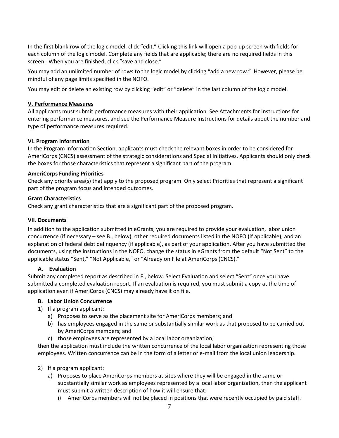In the first blank row of the logic model, click "edit." Clicking this link will open a pop-up screen with fields for each column of the logic model. Complete any fields that are applicable; there are no required fields in this screen. When you are finished, click "save and close."

You may add an unlimited number of rows to the logic model by clicking "add a new row." However, please be mindful of any page limits specified in the NOFO.

You may edit or delete an existing row by clicking "edit" or "delete" in the last column of the logic model.

#### **V. Performance Measures**

All applicants must submit performance measures with their application. See Attachments for instructions for entering performance measures, and see the Performance Measure Instructions for details about the number and type of performance measures required.

## **VI. Program Information**

In the Program Information Section, applicants must check the relevant boxes in order to be considered for AmeriCorps (CNCS) assessment of the strategic considerations and Special Initiatives. Applicants should only check the boxes for those characteristics that represent a significant part of the program.

#### **AmeriCorps Funding Priorities**

Check any priority area(s) that apply to the proposed program. Only select Priorities that represent a significant part of the program focus and intended outcomes.

#### **Grant Characteristics**

Check any grant characteristics that are a significant part of the proposed program.

#### **VII. Documents**

In addition to the application submitted in eGrants, you are required to provide your evaluation, labor union concurrence (if necessary – see B., below), other required documents listed in the NOFO (if applicable), and an explanation of federal debt delinquency (if applicable), as part of your application. After you have submitted the documents, using the instructions in the NOFO, change the status in eGrants from the default "Not Sent" to the applicable status "Sent," "Not Applicable," or "Already on File at AmeriCorps (CNCS)."

#### **A. Evaluation**

Submit any completed report as described in F., below. Select Evaluation and select "Sent" once you have submitted a completed evaluation report. If an evaluation is required, you must submit a copy at the time of application even if AmeriCorps (CNCS) may already have it on file.

#### **B. Labor Union Concurrence**

- 1) If a program applicant:
	- a) Proposes to serve as the placement site for AmeriCorps members; and
	- b) has employees engaged in the same or substantially similar work as that proposed to be carried out by AmeriCorps members; and
	- c) those employees are represented by a local labor organization;

then the application must include the written concurrence of the local labor organization representing those employees. Written concurrence can be in the form of a letter or e-mail from the local union leadership.

- 2) If a program applicant:
	- a) Proposes to place AmeriCorps members at sites where they will be engaged in the same or substantially similar work as employees represented by a local labor organization, then the applicant must submit a written description of how it will ensure that:
		- i) AmeriCorps members will not be placed in positions that were recently occupied by paid staff.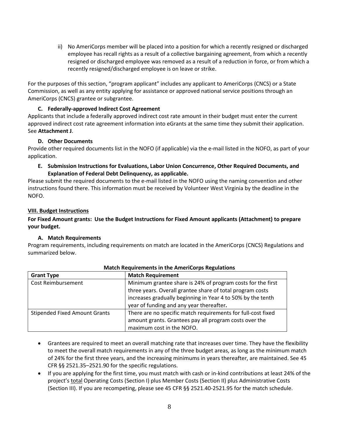ii) No AmeriCorps member will be placed into a position for which a recently resigned or discharged employee has recall rights as a result of a collective bargaining agreement, from which a recently resigned or discharged employee was removed as a result of a reduction in force, or from which a recently resigned/discharged employee is on leave or strike.

For the purposes of this section, "program applicant" includes any applicant to AmeriCorps (CNCS) or a State Commission, as well as any entity applying for assistance or approved national service positions through an AmeriCorps (CNCS) grantee or subgrantee.

## **C. Federally-approved Indirect Cost Agreement**

Applicants that include a federally approved indirect cost rate amount in their budget must enter the current approved indirect cost rate agreement information into eGrants at the same time they submit their application. See **Attachment J**.

## **D. Other Documents**

Provide other required documents list in the NOFO (if applicable) via the e-mail listed in the NOFO, as part of your application.

**E. Submission Instructions for Evaluations, Labor Union Concurrence, Other Required Documents, and Explanation of Federal Debt Delinquency, as applicable.**

Please submit the required documents to the e-mail listed in the NOFO using the naming convention and other instructions found there. This information must be received by Volunteer West Virginia by the deadline in the NOFO.

## **VIII. Budget Instructions**

**For Fixed Amount grants: Use the Budget Instructions for Fixed Amount applicants (Attachment) to prepare your budget.** 

#### **A. Match Requirements**

Program requirements, including requirements on match are located in the AmeriCorps (CNCS) Regulations and summarized below.

| <b>Grant Type</b>                    | <b>Match Requirement</b>                                     |
|--------------------------------------|--------------------------------------------------------------|
| <b>Cost Reimbursement</b>            | Minimum grantee share is 24% of program costs for the first  |
|                                      | three years. Overall grantee share of total program costs    |
|                                      | increases gradually beginning in Year 4 to 50% by the tenth  |
|                                      | year of funding and any year thereafter.                     |
| <b>Stipended Fixed Amount Grants</b> | There are no specific match requirements for full-cost fixed |
|                                      | amount grants. Grantees pay all program costs over the       |
|                                      | maximum cost in the NOFO.                                    |

#### **Match Requirements in the AmeriCorps Regulations**

- Grantees are required to meet an overall matching rate that increases over time. They have the flexibility to meet the overall match requirements in any of the three budget areas, as long as the minimum match of 24% for the first three years, and the increasing minimums in years thereafter, are maintained. See 45 CFR §§ 2521.35–2521.90 for the specific regulations.
- If you are applying for the first time, you must match with cash or in-kind contributions at least 24% of the project's total Operating Costs (Section I) plus Member Costs (Section II) plus Administrative Costs (Section III). If you are recompeting, please see 45 CFR §§ 2521.40-2521.95 for the match schedule.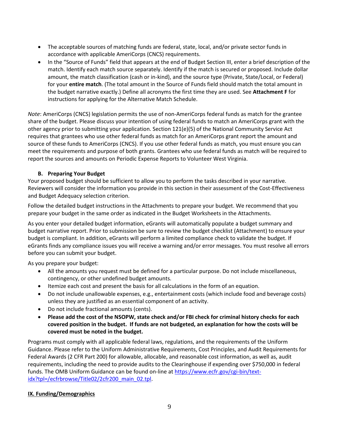- The acceptable sources of matching funds are federal, state, local, and/or private sector funds in accordance with applicable AmeriCorps (CNCS) requirements.
- In the "Source of Funds" field that appears at the end of Budget Section III, enter a brief description of the match. Identify each match source separately. Identify if the match is secured or proposed. Include dollar amount, the match classification (cash or in-kind), and the source type (Private, State/Local, or Federal) for your **entire match**. (The total amount in the Source of Funds field should match the total amount in the budget narrative exactly.) Define all acronyms the first time they are used. See **Attachment F** for instructions for applying for the Alternative Match Schedule.

*Note*: AmeriCorps (CNCS) legislation permits the use of non-AmeriCorps federal funds as match for the grantee share of the budget. Please discuss your intention of using federal funds to match an AmeriCorps grant with the other agency prior to submitting your application. Section 121(e)(5) of the National Community Service Act requires that grantees who use other federal funds as match for an AmeriCorps grant report the amount and source of these funds to AmeriCorps (CNCS). If you use other federal funds as match, you must ensure you can meet the requirements and purpose of both grants. Grantees who use federal funds as match will be required to report the sources and amounts on Periodic Expense Reports to Volunteer West Virginia.

## **B. Preparing Your Budget**

Your proposed budget should be sufficient to allow you to perform the tasks described in your narrative. Reviewers will consider the information you provide in this section in their assessment of the Cost-Effectiveness and Budget Adequacy selection criterion.

Follow the detailed budget instructions in the Attachments to prepare your budget. We recommend that you prepare your budget in the same order as indicated in the Budget Worksheets in the Attachments.

As you enter your detailed budget information, eGrants will automatically populate a budget summary and budget narrative report. Prior to submission be sure to review the budget checklist (Attachment) to ensure your budget is compliant. In addition, eGrants will perform a limited compliance check to validate the budget. If eGrants finds any compliance issues you will receive a warning and/or error messages. You must resolve all errors before you can submit your budget.

As you prepare your budget:

- All the amounts you request must be defined for a particular purpose. Do not include miscellaneous, contingency, or other undefined budget amounts.
- Itemize each cost and present the basis for all calculations in the form of an equation.
- Do not include unallowable expenses, e.g., entertainment costs (which include food and beverage costs) unless they are justified as an essential component of an activity.
- Do not include fractional amounts (cents).
- **Please add the cost of the NSOPW, state check and/or FBI check for criminal history checks for each covered position in the budget. If funds are not budgeted, an explanation for how the costs will be covered must be noted in the budget.**

Programs must comply with all applicable federal laws, regulations, and the requirements of the Uniform Guidance. Please refer to the Uniform Administrative Requirements, Cost Principles, and Audit Requirements for Federal Awards (2 CFR Part 200) for allowable, allocable, and reasonable cost information, as well as, audit requirements, including the need to provide audits to the Clearinghouse if expending over \$750,000 in federal funds. The OMB Uniform Guidance can be found on-line at [https://www.ecfr.gov/cgi-bin/text](https://www.ecfr.gov/cgi-bin/text-idx?tpl=/ecfrbrowse/Title02/2cfr200_main_02.tpl)[idx?tpl=/ecfrbrowse/Title02/2cfr200\\_main\\_02.tpl.](https://www.ecfr.gov/cgi-bin/text-idx?tpl=/ecfrbrowse/Title02/2cfr200_main_02.tpl)

## **IX. Funding/Demographics**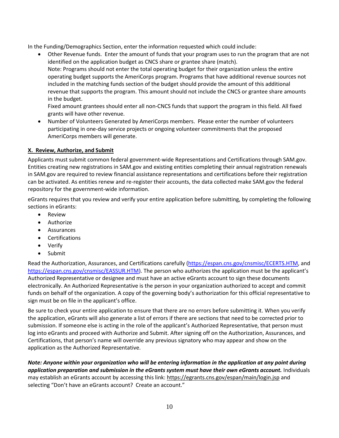In the Funding/Demographics Section, enter the information requested which could include:

• Other Revenue funds. Enter the amount of funds that your program uses to run the program that are not identified on the application budget as CNCS share or grantee share (match). Note: Programs should not enter the total operating budget for their organization unless the entire operating budget supports the AmeriCorps program. Programs that have additional revenue sources not included in the matching funds section of the budget should provide the amount of this additional revenue that supports the program. This amount should not include the CNCS or grantee share amounts in the budget.

Fixed amount grantees should enter all non-CNCS funds that support the program in this field. All fixed grants will have other revenue.

• Number of Volunteers Generated by AmeriCorps members. Please enter the number of volunteers participating in one-day service projects or ongoing volunteer commitments that the proposed AmeriCorps members will generate.

# **X. Review, Authorize, and Submit**

Applicants must submit common federal government-wide Representations and Certifications through SAM.gov. Entities creating new registrations in SAM.gov and existing entities completing their annual registration renewals in SAM.gov are required to review financial assistance representations and certifications before their registration can be activated. As entities renew and re-register their accounts, the data collected make SAM.gov the federal repository for the government-wide information.

eGrants requires that you review and verify your entire application before submitting, by completing the following sections in eGrants:

- Review
- Authorize
- Assurances
- **Certifications**
- Verify
- Submit

Read the Authorization, Assurances, and Certifications carefully [\(https://espan.cns.gov/cnsmisc/ECERTS.HTM,](https://espan.cns.gov/cnsmisc/ECERTS.HTM) and [https://espan.cns.gov/cnsmisc/EASSUR.HTM\)](https://espan.cns.gov/cnsmisc/EASSUR.HTM). The person who authorizes the application must be the applicant's Authorized Representative or designee and must have an active eGrants account to sign these documents electronically. An Authorized Representative is the person in your organization authorized to accept and commit funds on behalf of the organization. A copy of the governing body's authorization for this official representative to sign must be on file in the applicant's office.

Be sure to check your entire application to ensure that there are no errors before submitting it. When you verify the application, eGrants will also generate a list of errors if there are sections that need to be corrected prior to submission. If someone else is acting in the role of the applicant's Authorized Representative, that person must log into eGrants and proceed with Authorize and Submit. After signing off on the Authorization, Assurances, and Certifications, that person's name will override any previous signatory who may appear and show on the application as the Authorized Representative.

*Note: Anyone within your organization who will be entering information in the application at any point during application preparation and submission in the eGrants system must have their own eGrants account.* Individuals may establish an eGrants account by accessing this link[: https://egrants.cns.gov/espan/main/login.jsp](https://egrants.cns.gov/espan/main/login.jsp) and selecting "Don't have an eGrants account? Create an account."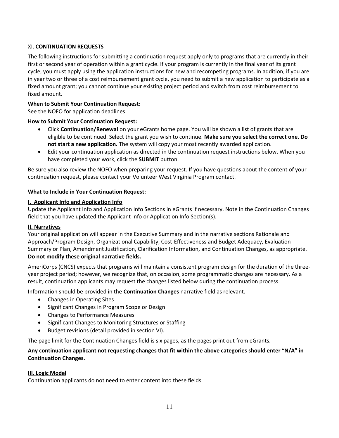## XI. **CONTINUATION REQUESTS**

The following instructions for submitting a continuation request apply only to programs that are currently in their first or second year of operation within a grant cycle. If your program is currently in the final year of its grant cycle, you must apply using the application instructions for new and recompeting programs. In addition, if you are in year two or three of a cost reimbursement grant cycle, you need to submit a new application to participate as a fixed amount grant; you cannot continue your existing project period and switch from cost reimbursement to fixed amount.

#### **When to Submit Your Continuation Request:**

See the NOFO for application deadlines.

## **How to Submit Your Continuation Request:**

- Click **Continuation/Renewal** on your eGrants home page. You will be shown a list of grants that are eligible to be continued. Select the grant you wish to continue. **Make sure you select the correct one. Do not start a new application.** The system will copy your most recently awarded application.
- Edit your continuation application as directed in the continuation request instructions below. When you have completed your work, click the **SUBMIT** button.

Be sure you also review the NOFO when preparing your request. If you have questions about the content of your continuation request, please contact your Volunteer West Virginia Program contact.

## **What to Include in Your Continuation Request:**

## **I. Applicant Info and Application Info**

Update the Applicant Info and Application Info Sections in eGrants if necessary. Note in the Continuation Changes field that you have updated the Applicant Info or Application Info Section(s).

#### **II. Narratives**

Your original application will appear in the Executive Summary and in the narrative sections Rationale and Approach/Program Design, Organizational Capability, Cost-Effectiveness and Budget Adequacy, Evaluation Summary or Plan, Amendment Justification, Clarification Information, and Continuation Changes, as appropriate. **Do not modify these original narrative fields.**

AmeriCorps (CNCS) expects that programs will maintain a consistent program design for the duration of the threeyear project period; however, we recognize that, on occasion, some programmatic changes are necessary. As a result, continuation applicants may request the changes listed below during the continuation process.

Information should be provided in the **Continuation Changes** narrative field as relevant.

- Changes in Operating Sites
- Significant Changes in Program Scope or Design
- Changes to Performance Measures
- Significant Changes to Monitoring Structures or Staffing
- Budget revisions (detail provided in section VI).

The page limit for the Continuation Changes field is six pages, as the pages print out from eGrants.

## **Any continuation applicant not requesting changes that fit within the above categories should enter "N/A" in Continuation Changes.**

## **III. Logic Model**

Continuation applicants do not need to enter content into these fields.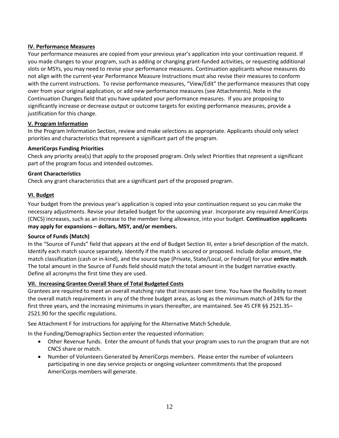## **IV. Performance Measures**

Your performance measures are copied from your previous year's application into your continuation request. If you made changes to your program, such as adding or changing grant-funded activities, or requesting additional slots or MSYs, you may need to revise your performance measures. Continuation applicants whose measures do not align with the current-year Performance Measure Instructions must also revise their measures to conform with the current instructions. To revise performance measures, "View/Edit" the performance measures that copy over from your original application, or add new performance measures (see Attachments). Note in the Continuation Changes field that you have updated your performance measures. If you are proposing to significantly increase or decrease output or outcome targets for existing performance measures, provide a justification for this change.

## **V. Program Information**

In the Program Information Section, review and make selections as appropriate. Applicants should only select priorities and characteristics that represent a significant part of the program.

## **AmeriCorps Funding Priorities**

Check any priority area(s) that apply to the proposed program. Only select Priorities that represent a significant part of the program focus and intended outcomes.

#### **Grant Characteristics**

Check any grant characteristics that are a significant part of the proposed program.

## **VI. Budget**

Your budget from the previous year's application is copied into your continuation request so you can make the necessary adjustments. Revise your detailed budget for the upcoming year. Incorporate any required AmeriCorps (CNCS) increases, such as an increase to the member living allowance, into your budget. **Continuation applicants may apply for expansions – dollars, MSY, and/or members.**

#### **Source of Funds (Match)**

In the "Source of Funds" field that appears at the end of Budget Section III, enter a brief description of the match. Identify each match source separately. Identify if the match is secured or proposed. Include dollar amount, the match classification (cash or in-kind), and the source type (Private, State/Local, or Federal) for your **entire match**. The total amount in the Source of Funds field should match the total amount in the budget narrative exactly. Define all acronyms the first time they are used.

#### **VII. Increasing Grantee Overall Share of Total Budgeted Costs**

Grantees are required to meet an overall matching rate that increases over time. You have the flexibility to meet the overall match requirements in any of the three budget areas, as long as the minimum match of 24% for the first three years, and the increasing minimums in years thereafter, are maintained. See 45 CFR §§ 2521.35– 2521.90 for the specific regulations.

See Attachment F for instructions for applying for the Alternative Match Schedule.

In the Funding/Demographics Section enter the requested information:

- Other Revenue funds. Enter the amount of funds that your program uses to run the program that are not CNCS share or match.
- Number of Volunteers Generated by AmeriCorps members. Please enter the number of volunteers participating in one day service projects or ongoing volunteer commitments that the proposed AmeriCorps members will generate.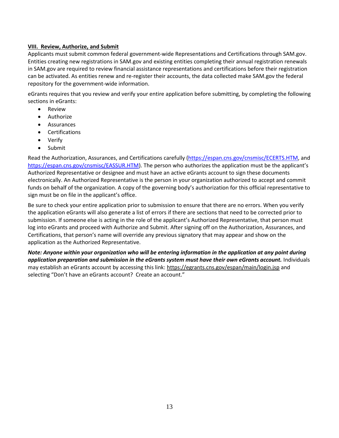### **VIII. Review, Authorize, and Submit**

Applicants must submit common federal government-wide Representations and Certifications through SAM.gov. Entities creating new registrations in SAM.gov and existing entities completing their annual registration renewals in SAM.gov are required to review financial assistance representations and certifications before their registration can be activated. As entities renew and re-register their accounts, the data collected make SAM.gov the federal repository for the government-wide information.

eGrants requires that you review and verify your entire application before submitting, by completing the following sections in eGrants:

- Review
- **Authorize**
- Assurances
- Certifications
- Verify
- Submit

Read the Authorization, Assurances, and Certifications carefully [\(https://espan.cns.gov/cnsmisc/ECERTS.HTM,](https://espan.cns.gov/cnsmisc/ECERTS.HTM) and [https://espan.cns.gov/cnsmisc/EASSUR.HTM\)](https://espan.cns.gov/cnsmisc/EASSUR.HTM). The person who authorizes the application must be the applicant's Authorized Representative or designee and must have an active eGrants account to sign these documents electronically. An Authorized Representative is the person in your organization authorized to accept and commit funds on behalf of the organization. A copy of the governing body's authorization for this official representative to sign must be on file in the applicant's office.

Be sure to check your entire application prior to submission to ensure that there are no errors. When you verify the application eGrants will also generate a list of errors if there are sections that need to be corrected prior to submission. If someone else is acting in the role of the applicant's Authorized Representative, that person must log into eGrants and proceed with Authorize and Submit. After signing off on the Authorization, Assurances, and Certifications, that person's name will override any previous signatory that may appear and show on the application as the Authorized Representative.

*Note: Anyone within your organization who will be entering information in the application at any point during application preparation and submission in the eGrants system must have their own eGrants account.* Individuals may establish an eGrants account by accessing this link:<https://egrants.cns.gov/espan/main/login.jsp> and selecting "Don't have an eGrants account? Create an account."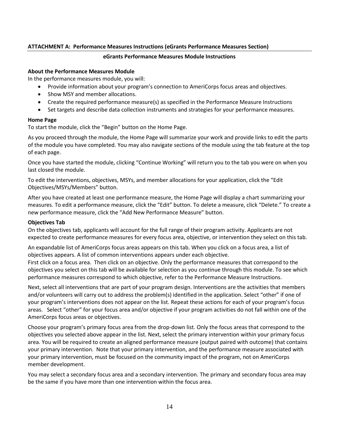### **ATTACHMENT A: Performance Measures Instructions (eGrants Performance Measures Section)**

#### **eGrants Performance Measures Module Instructions**

#### **About the Performance Measures Module**

In the performance measures module, you will:

- Provide information about your program's connection to AmeriCorps focus areas and objectives.
- Show MSY and member allocations.
- Create the required performance measure(s) as specified in the Performance Measure Instructions
- Set targets and describe data collection instruments and strategies for your performance measures.

#### **Home Page**

To start the module, click the "Begin" button on the Home Page.

As you proceed through the module, the Home Page will summarize your work and provide links to edit the parts of the module you have completed. You may also navigate sections of the module using the tab feature at the top of each page.

Once you have started the module, clicking "Continue Working" will return you to the tab you were on when you last closed the module.

To edit the interventions, objectives, MSYs, and member allocations for your application, click the "Edit Objectives/MSYs/Members" button.

After you have created at least one performance measure, the Home Page will display a chart summarizing your measures. To edit a performance measure, click the "Edit" button. To delete a measure, click "Delete." To create a new performance measure, click the "Add New Performance Measure" button.

#### **Objectives Tab**

On the objectives tab, applicants will account for the full range of their program activity. Applicants are not expected to create performance measures for every focus area, objective, or intervention they select on this tab.

An expandable list of AmeriCorps focus areas appears on this tab. When you click on a focus area, a list of objectives appears. A list of common interventions appears under each objective.

First click on a focus area. Then click on an objective. Only the performance measures that correspond to the objectives you select on this tab will be available for selection as you continue through this module. To see which performance measures correspond to which objective, refer to the Performance Measure Instructions.

Next, select all interventions that are part of your program design. Interventions are the activities that members and/or volunteers will carry out to address the problem(s) identified in the application. Select "other" if one of your program's interventions does not appear on the list. Repeat these actions for each of your program's focus areas. Select "other" for your focus area and/or objective if your program activities do not fall within one of the AmeriCorps focus areas or objectives.

Choose your program's primary focus area from the drop-down list. Only the focus areas that correspond to the objectives you selected above appear in the list. Next, select the primary intervention within your primary focus area. You will be required to create an aligned performance measure (output paired with outcome) that contains your primary intervention. Note that your primary intervention, and the performance measure associated with your primary intervention, must be focused on the community impact of the program, not on AmeriCorps member development.

You may select a secondary focus area and a secondary intervention. The primary and secondary focus area may be the same if you have more than one intervention within the focus area.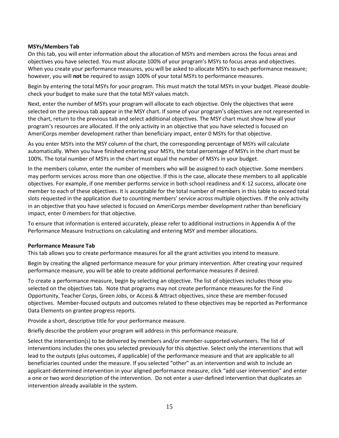#### **MSYs/Members Tab**

On this tab, you will enter information about the allocation of MSYs and members across the focus areas and objectives you have selected. You must allocate 100% of your program's MSYs to focus areas and objectives. When you create your performance measures, you will be asked to allocate MSYs to each performance measure; however, you will **not** be required to assign 100% of your total MSYs to performance measures.

Begin by entering the total MSYs for your program. This must match the total MSYs in your budget. Please doublecheck your budget to make sure that the total MSY values match.

Next, enter the number of MSYs your program will allocate to each objective. Only the objectives that were selected on the previous tab appear in the MSY chart. If some of your program's objectives are not represented in the chart, return to the previous tab and select additional objectives. The MSY chart must show how all your program's resources are allocated. If the only activity in an objective that you have selected is focused on AmeriCorps member development rather than beneficiary impact, enter 0 MSYs for that objective.

As you enter MSYs into the MSY column of the chart, the corresponding percentage of MSYs will calculate automatically. When you have finished entering your MSYs, the total percentage of MSYs in the chart must be 100%. The total number of MSYs in the chart must equal the number of MSYs in your budget.

In the members column, enter the number of members who will be assigned to each objective. Some members may perform services across more than one objective. If this is the case, allocate these members to all applicable objectives. For example, if one member performs service in both school readiness and K-12 success, allocate one member to each of these objectives. It is acceptable for the total number of members in this table to exceed total slots requested in the application due to counting members' service across multiple objectives. If the only activity in an objective that you have selected is focused on AmeriCorps member development rather than beneficiary impact, enter 0 members for that objective.

To ensure that information is entered accurately, please refer to additional instructions in Appendix A of the Performance Measure Instructions on calculating and entering MSY and member allocations.

#### **Performance Measure Tab**

This tab allows you to create performance measures for all the grant activities you intend to measure.

Begin by creating the aligned performance measure for your primary intervention. After creating your required performance measure, you will be able to create additional performance measures if desired.

To create a performance measure, begin by selecting an objective. The list of objectives includes those you selected on the objectives tab. Note that programs may not create performance measures for the Find Opportunity, Teacher Corps, Green Jobs, or Access & Attract objectives, since these are member-focused objectives. Member-focused outputs and outcomes related to these objectives may be reported as Performance Data Elements on grantee progress reports.

Provide a short, descriptive title for your performance measure.

Briefly describe the problem your program will address in this performance measure.

Select the intervention(s) to be delivered by members and/or member-supported volunteers. The list of interventions includes the ones you selected previously for this objective. Select only the interventions that will lead to the outputs (plus outcomes, if applicable) of the performance measure and that are applicable to all beneficiaries counted under the measure. If you selected "other" as an intervention and wish to include an applicant-determined intervention in your aligned performance measure, click "add user intervention" and enter a one or two word description of the intervention. Do not enter a user-defined intervention that duplicates an intervention already available in the system.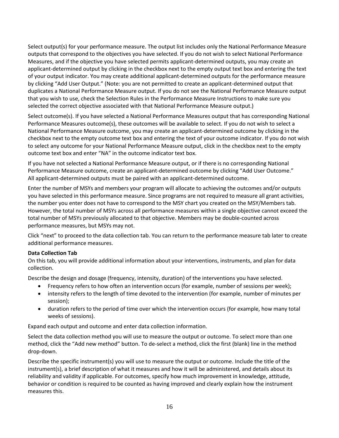Select output(s) for your performance measure. The output list includes only the National Performance Measure outputs that correspond to the objectives you have selected. If you do not wish to select National Performance Measures, and if the objective you have selected permits applicant-determined outputs, you may create an applicant-determined output by clicking in the checkbox next to the empty output text box and entering the text of your output indicator. You may create additional applicant-determined outputs for the performance measure by clicking "Add User Output." (Note: you are not permitted to create an applicant-determined output that duplicates a National Performance Measure output. If you do not see the National Performance Measure output that you wish to use, check the Selection Rules in the Performance Measure Instructions to make sure you selected the correct objective associated with that National Performance Measure output.)

Select outcome(s). If you have selected a National Performance Measures output that has corresponding National Performance Measures outcome(s), these outcomes will be available to select. If you do not wish to select a National Performance Measure outcome, you may create an applicant-determined outcome by clicking in the checkbox next to the empty outcome text box and entering the text of your outcome indicator. If you do not wish to select any outcome for your National Performance Measure output, click in the checkbox next to the empty outcome text box and enter "NA" in the outcome indicator text box.

If you have not selected a National Performance Measure output, or if there is no corresponding National Performance Measure outcome, create an applicant-determined outcome by clicking "Add User Outcome." All applicant-determined outputs must be paired with an applicant-determined outcome.

Enter the number of MSYs and members your program will allocate to achieving the outcomes and/or outputs you have selected in this performance measure. Since programs are not required to measure all grant activities, the number you enter does not have to correspond to the MSY chart you created on the MSY/Members tab. However, the total number of MSYs across all performance measures within a single objective cannot exceed the total number of MSYs previously allocated to that objective. Members may be double-counted across performance measures, but MSYs may not.

Click "next" to proceed to the data collection tab. You can return to the performance measure tab later to create additional performance measures.

#### **Data Collection Tab**

On this tab, you will provide additional information about your interventions, instruments, and plan for data collection.

Describe the design and dosage (frequency, intensity, duration) of the interventions you have selected.

- Frequency refers to how often an intervention occurs (for example, number of sessions per week);
- intensity refers to the length of time devoted to the intervention (for example, number of minutes per session);
- duration refers to the period of time over which the intervention occurs (for example, how many total weeks of sessions).

Expand each output and outcome and enter data collection information.

Select the data collection method you will use to measure the output or outcome. To select more than one method, click the "Add new method" button. To de-select a method, click the first (blank) line in the method drop-down.

Describe the specific instrument(s) you will use to measure the output or outcome. Include the title of the instrument(s), a brief description of what it measures and how it will be administered, and details about its reliability and validity if applicable. For outcomes, specify how much improvement in knowledge, attitude, behavior or condition is required to be counted as having improved and clearly explain how the instrument measures this.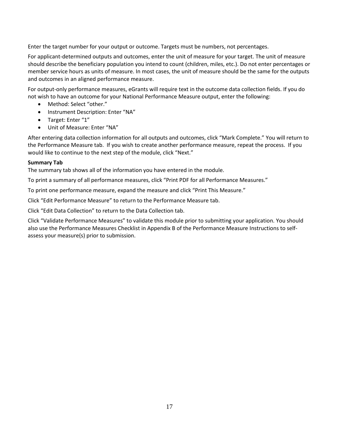Enter the target number for your output or outcome. Targets must be numbers, not percentages.

For applicant-determined outputs and outcomes, enter the unit of measure for your target. The unit of measure should describe the beneficiary population you intend to count (children, miles, etc.). Do not enter percentages or member service hours as units of measure. In most cases, the unit of measure should be the same for the outputs and outcomes in an aligned performance measure.

For output-only performance measures, eGrants will require text in the outcome data collection fields. If you do not wish to have an outcome for your National Performance Measure output, enter the following:

- Method: Select "other."
- Instrument Description: Enter "NA"
- Target: Enter "1"
- Unit of Measure: Enter "NA"

After entering data collection information for all outputs and outcomes, click "Mark Complete." You will return to the Performance Measure tab. If you wish to create another performance measure, repeat the process. If you would like to continue to the next step of the module, click "Next."

#### **Summary Tab**

The summary tab shows all of the information you have entered in the module.

To print a summary of all performance measures, click "Print PDF for all Performance Measures."

To print one performance measure, expand the measure and click "Print This Measure."

Click "Edit Performance Measure" to return to the Performance Measure tab.

Click "Edit Data Collection" to return to the Data Collection tab.

Click "Validate Performance Measures" to validate this module prior to submitting your application. You should also use the Performance Measures Checklist in Appendix B of the Performance Measure Instructions to selfassess your measure(s) prior to submission.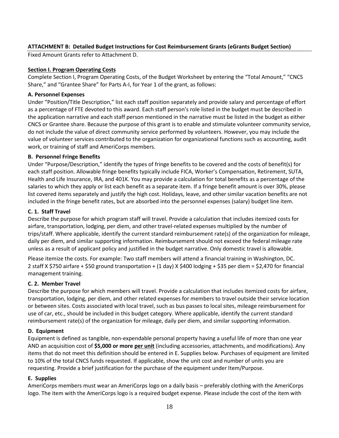## **ATTACHMENT B: Detailed Budget Instructions for Cost Reimbursement Grants (eGrants Budget Section)**

Fixed Amount Grants refer to Attachment D.

#### **Section I. Program Operating Costs**

Complete Section I, Program Operating Costs, of the Budget Worksheet by entering the "Total Amount," "CNCS Share," and "Grantee Share" for Parts A-I, for Year 1 of the grant, as follows:

#### **A. Personnel Expenses**

Under "Position/Title Description," list each staff position separately and provide salary and percentage of effort as a percentage of FTE devoted to this award. Each staff person's role listed in the budget must be described in the application narrative and each staff person mentioned in the narrative must be listed in the budget as either CNCS or Grantee share. Because the purpose of this grant is to enable and stimulate volunteer community service, do not include the value of direct community service performed by volunteers. However, you may include the value of volunteer services contributed to the organization for organizational functions such as accounting, audit work, or training of staff and AmeriCorps members.

#### **B. Personnel Fringe Benefits**

Under "Purpose/Description," identify the types of fringe benefits to be covered and the costs of benefit(s) for each staff position. Allowable fringe benefits typically include FICA, Worker's Compensation, Retirement, SUTA, Health and Life Insurance, IRA, and 401K. You may provide a calculation for total benefits as a percentage of the salaries to which they apply or list each benefit as a separate item. If a fringe benefit amount is over 30%, please list covered items separately and justify the high cost. Holidays, leave, and other similar vacation benefits are not included in the fringe benefit rates, but are absorbed into the personnel expenses (salary) budget line item.

## **C. 1. Staff Travel**

Describe the purpose for which program staff will travel. Provide a calculation that includes itemized costs for airfare, transportation, lodging, per diem, and other travel-related expenses multiplied by the number of trips/staff. Where applicable, identify the current standard reimbursement rate(s) of the organization for mileage, daily per diem, and similar supporting information. Reimbursement should not exceed the federal mileage rate unless as a result of applicant policy and justified in the budget narrative. Only domestic travel is allowable.

Please itemize the costs. For example: Two staff members will attend a financial training in Washington, DC. 2 staff X \$750 airfare + \$50 ground transportation + (1 day) X \$400 lodging + \$35 per diem = \$2,470 for financial management training.

#### **C. 2. Member Travel**

Describe the purpose for which members will travel. Provide a calculation that includes itemized costs for airfare, transportation, lodging, per diem, and other related expenses for members to travel outside their service location or between sites. Costs associated with local travel, such as bus passes to local sites, mileage reimbursement for use of car, etc., should be included in this budget category. Where applicable, identify the current standard reimbursement rate(s) of the organization for mileage, daily per diem, and similar supporting information.

#### **D. Equipment**

Equipment is defined as tangible, non-expendable personal property having a useful life of more than one year AND an acquisition cost of **\$5,000 or more per unit** (including accessories, attachments, and modifications). Any items that do not meet this definition should be entered in E. Supplies below. Purchases of equipment are limited to 10% of the total CNCS funds requested. If applicable, show the unit cost and number of units you are requesting. Provide a brief justification for the purchase of the equipment under Item/Purpose.

#### **E. Supplies**

AmeriCorps members must wear an AmeriCorps logo on a daily basis – preferably clothing with the AmeriCorps logo. The item with the AmeriCorps logo is a required budget expense. Please include the cost of the item with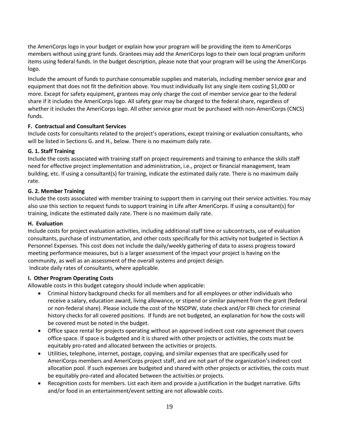the AmeriCorps logo in your budget or explain how your program will be providing the item to AmeriCorps members without using grant funds. Grantees may add the AmeriCorps logo to their own local program uniform items using federal funds. In the budget description, please note that your program will be using the AmeriCorps logo.

Include the amount of funds to purchase consumable supplies and materials, including member service gear and equipment that does not fit the definition above. You must individually list any single item costing \$1,000 or more. Except for safety equipment, grantees may only charge the cost of member service gear to the federal share if it includes the AmeriCorps logo. All safety gear may be charged to the federal share, regardless of whether it includes the AmeriCorps logo. All other service gear must be purchased with non-AmeriCorps (CNCS) funds.

## **F. Contractual and Consultant Services**

Include costs for consultants related to the project's operations, except training or evaluation consultants, who will be listed in Sections G. and H., below. There is no maximum daily rate.

## **G. 1. Staff Training**

Include the costs associated with training staff on project requirements and training to enhance the skills staff need for effective project implementation and administration, i.e., project or financial management, team building, etc. If using a consultant(s) for training, indicate the estimated daily rate. There is no maximum daily rate.

#### **G. 2. Member Training**

Include the costs associated with member training to support them in carrying out their service activities. You may also use this section to request funds to support training in Life after AmeriCorps. If using a consultant(s) for training, indicate the estimated daily rate. There is no maximum daily rate.

#### **H. Evaluation**

Include costs for project evaluation activities, including additional staff time or subcontracts, use of evaluation consultants, purchase of instrumentation, and other costs specifically for this activity not budgeted in Section A Personnel Expenses. This cost does not include the daily/weekly gathering of data to assess progress toward meeting performance measures, but is a larger assessment of the impact your project is having on the community, as well as an assessment of the overall systems and project design. Indicate daily rates of consultants, where applicable.

#### **I. Other Program Operating Costs**

Allowable costs in this budget category should include when applicable:

- Criminal history background checks for all members and for all employees or other individuals who receive a salary, education award, living allowance, or stipend or similar payment from the grant (federal or non-federal share). Please include the cost of the NSOPW, state check and/or FBI check for criminal history checks for all covered positions. If funds are not budgeted, an explanation for how the costs will be covered must be noted in the budget.
- Office space rental for projects operating without an approved indirect cost rate agreement that covers office space. If space is budgeted and it is shared with other projects or activities, the costs must be equitably pro-rated and allocated between the activities or projects.
- Utilities, telephone, internet, postage, copying, and similar expenses that are specifically used for AmeriCorps members and AmeriCorps project staff, and are not part of the organization's indirect cost allocation pool. If such expenses are budgeted and shared with other projects or activities, the costs must be equitably pro-rated and allocated between the activities or projects.
- Recognition costs for members. List each item and provide a justification in the budget narrative. Gifts and/or food in an entertainment/event setting are not allowable costs.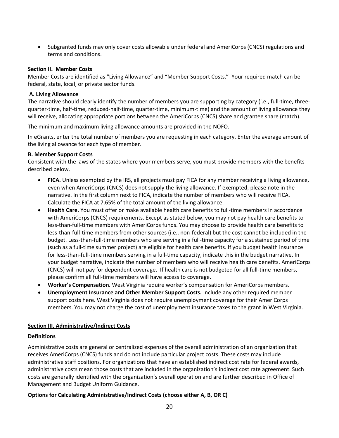• Subgranted funds may only cover costs allowable under federal and AmeriCorps (CNCS) regulations and terms and conditions.

#### **Section II. Member Costs**

Member Costs are identified as "Living Allowance" and "Member Support Costs." Your required match can be federal, state, local, or private sector funds.

## **A. Living Allowance**

The narrative should clearly identify the number of members you are supporting by category (i.e., full-time, threequarter-time, half-time, reduced-half-time, quarter-time, minimum-time) and the amount of living allowance they will receive, allocating appropriate portions between the AmeriCorps (CNCS) share and grantee share (match).

The minimum and maximum living allowance amounts are provided in the NOFO.

In eGrants, enter the total number of members you are requesting in each category. Enter the average amount of the living allowance for each type of member.

## **B. Member Support Costs**

Consistent with the laws of the states where your members serve, you must provide members with the benefits described below.

- **FICA.** Unless exempted by the IRS, all projects must pay FICA for any member receiving a living allowance, even when AmeriCorps (CNCS) does not supply the living allowance. If exempted, please note in the narrative. In the first column next to FICA, indicate the number of members who will receive FICA. Calculate the FICA at 7.65% of the total amount of the living allowance.
- **Health Care.** You must offer or make available health care benefits to full-time members in accordance with AmeriCorps (CNCS) requirements. Except as stated below, you may not pay health care benefits to less-than-full-time members with AmeriCorps funds. You may choose to provide health care benefits to less-than-full-time members from other sources (i.e., non-federal) but the cost cannot be included in the budget. Less-than-full-time members who are serving in a full-time capacity for a sustained period of time (such as a full-time summer project) are eligible for health care benefits. If you budget health insurance for less-than-full-time members serving in a full-time capacity, indicate this in the budget narrative. In your budget narrative, indicate the number of members who will receive health care benefits. AmeriCorps (CNCS) will not pay for dependent coverage. If health care is not budgeted for all full-time members, please confirm all full-time members will have access to coverage.
- **Worker's Compensation.** West Virginia require worker's compensation for AmeriCorps members.
- **Unemployment Insurance and Other Member Support Costs.** Include any other required member support costs here. West Virginia does not require unemployment coverage for their AmeriCorps members. You may not charge the cost of unemployment insurance taxes to the grant in West Virginia.

#### **Section III. Administrative/Indirect Costs**

## **Definitions**

Administrative costs are general or centralized expenses of the overall administration of an organization that receives AmeriCorps (CNCS) funds and do not include particular project costs. These costs may include administrative staff positions. For organizations that have an established indirect cost rate for federal awards, administrative costs mean those costs that are included in the organization's indirect cost rate agreement. Such costs are generally identified with the organization's overall operation and are further described in Office of Management and Budget Uniform Guidance.

## **Options for Calculating Administrative/Indirect Costs (choose either A, B, OR C)**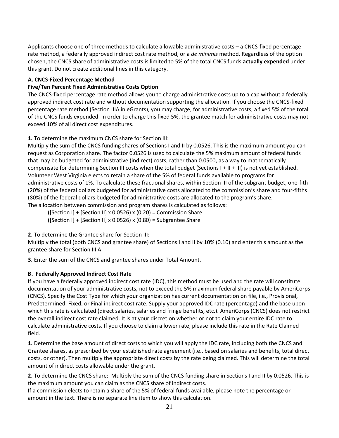Applicants choose one of three methods to calculate allowable administrative costs – a CNCS-fixed percentage rate method, a federally approved indirect cost rate method, or a *de minimis* method. Regardless of the option chosen, the CNCS share of administrative costs is limited to 5% of the total CNCS funds **actually expended** under this grant. Do not create additional lines in this category.

## **A. CNCS-Fixed Percentage Method**

## **Five/Ten Percent Fixed Administrative Costs Option**

The CNCS-fixed percentage rate method allows you to charge administrative costs up to a cap without a federally approved indirect cost rate and without documentation supporting the allocation. If you choose the CNCS-fixed percentage rate method (Section IIIA in eGrants), you may charge, for administrative costs, a fixed 5% of the total of the CNCS funds expended. In order to charge this fixed 5%, the grantee match for administrative costs may not exceed 10% of all direct cost expenditures.

**1.** To determine the maximum CNCS share for Section III:

Multiply the sum of the CNCS funding shares of Sections I and II by 0.0526. This is the maximum amount you can request as Corporation share. The factor 0.0526 is used to calculate the 5% maximum amount of federal funds that may be budgeted for administrative (indirect) costs, rather than 0.0500, as a way to mathematically compensate for determining Section III costs when the total budget (Sections I + II + III) is not yet established. Volunteer West Virginia elects to retain a share of the 5% of federal funds available to programs for administrative costs of 1%. To calculate these fractional shares, within Section III of the subgrant budget, one-fith (20%) of the federal dollars budgeted for administrative costs allocated to the commission's share and four-fifths (80%) of the federal dollars budgeted for administrative costs are allocated to the program's share. The allocation between commission and program shares is calculated as follows:

([Section I] + [Section II] x 0.0526) x (0.20) = Commission Share

 $([Section I] + [Section II] \times 0.0526) \times (0.80) = Subgrantee Share$ 

**2.** To determine the Grantee share for Section III:

Multiply the total (both CNCS and grantee share) of Sections I and II by 10% (0.10) and enter this amount as the grantee share for Section III A.

**3.** Enter the sum of the CNCS and grantee shares under Total Amount.

## **B. Federally Approved Indirect Cost Rate**

If you have a federally approved indirect cost rate (IDC), this method must be used and the rate will constitute documentation of your administrative costs, not to exceed the 5% maximum federal share payable by AmeriCorps (CNCS). Specify the Cost Type for which your organization has current documentation on file, i.e., Provisional, Predetermined, Fixed, or Final indirect cost rate. Supply your approved IDC rate (percentage) and the base upon which this rate is calculated (direct salaries, salaries and fringe benefits, etc.). AmeriCorps (CNCS) does not restrict the overall indirect cost rate claimed. It is at your discretion whether or not to claim your entire IDC rate to calculate administrative costs. If you choose to claim a lower rate, please include this rate in the Rate Claimed field.

**1.** Determine the base amount of direct costs to which you will apply the IDC rate, including both the CNCS and Grantee shares, as prescribed by your established rate agreement (i.e., based on salaries and benefits, total direct costs, or other). Then multiply the appropriate direct costs by the rate being claimed. This will determine the total amount of indirect costs allowable under the grant.

**2.** To determine the CNCS share: Multiply the sum of the CNCS funding share in Sections I and II by 0.0526. This is the maximum amount you can claim as the CNCS share of indirect costs.

If a commission elects to retain a share of the 5% of federal funds available, please note the percentage or amount in the text. There is no separate line item to show this calculation.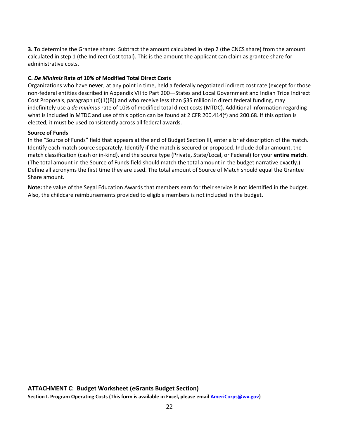**3.** To determine the Grantee share: Subtract the amount calculated in step 2 (the CNCS share) from the amount calculated in step 1 (the Indirect Cost total). This is the amount the applicant can claim as grantee share for administrative costs.

## **C.** *De Minimis* **Rate of 10% of Modified Total Direct Costs**

Organizations who have **never**, at any point in time, held a federally negotiated indirect cost rate (except for those non-federal entities described in Appendix VII to Part 200—States and Local Government and Indian Tribe Indirect Cost Proposals, paragraph (d)(1)(B)) and who receive less than \$35 million in direct federal funding, may indefinitely use a *de minimus* rate of 10% of modified total direct costs (MTDC). Additional information regarding what is included in MTDC and use of this option can be found at 2 CFR 200.414(f) and 200.68. If this option is elected, it must be used consistently across all federal awards.

## **Source of Funds**

In the "Source of Funds" field that appears at the end of Budget Section III, enter a brief description of the match. Identify each match source separately. Identify if the match is secured or proposed. Include dollar amount, the match classification (cash or in-kind), and the source type (Private, State/Local, or Federal) for your **entire match**. (The total amount in the Source of Funds field should match the total amount in the budget narrative exactly.) Define all acronyms the first time they are used. The total amount of Source of Match should equal the Grantee Share amount.

**Note:** the value of the Segal Education Awards that members earn for their service is not identified in the budget. Also, the childcare reimbursements provided to eligible members is not included in the budget.

## **ATTACHMENT C: Budget Worksheet (eGrants Budget Section)**

**Section I. Program Operating Costs (This form is available in Excel, please email [AmeriCorps@wv.gov\)](mailto:AmeriCorps@wv.gov)**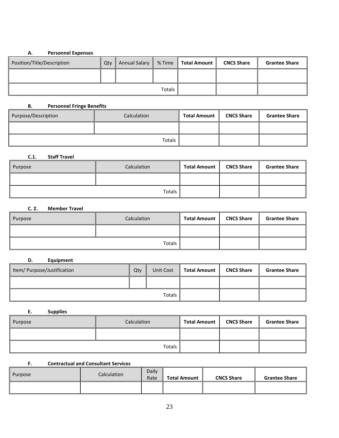## **A. Personnel Expenses**

| Position/Title/Description | Qty | <b>Annual Salary</b><br>Ш | % Time | <b>Ⅰ Total Amount</b> | <b>CNCS Share</b> | <b>Grantee Share</b> |
|----------------------------|-----|---------------------------|--------|-----------------------|-------------------|----------------------|
|                            |     |                           |        |                       |                   |                      |
| Totals                     |     |                           |        |                       |                   |                      |

## **B. Personnel Fringe Benefits**

| Purpose/Description | Calculation | <b>Total Amount</b> | <b>CNCS Share</b> | <b>Grantee Share</b> |
|---------------------|-------------|---------------------|-------------------|----------------------|
|                     |             |                     |                   |                      |
|                     |             |                     |                   |                      |

#### **C.1. Staff Travel**

| Purpose | Calculation | <b>Total Amount</b> | <b>CNCS Share</b> | <b>Grantee Share</b> |
|---------|-------------|---------------------|-------------------|----------------------|
|         |             |                     |                   |                      |
|         | Totals      |                     |                   |                      |

## **C. 2. Member Travel**

| Purpose | Calculation | <b>Total Amount</b> | <b>CNCS Share</b> | <b>Grantee Share</b> |
|---------|-------------|---------------------|-------------------|----------------------|
|         |             |                     |                   |                      |
|         |             |                     |                   |                      |

# **D. Equipment**

| Item/ Purpose/Justification | Qty | Unit Cost | <b>Total Amount</b> | <b>CNCS Share</b> | <b>Grantee Share</b> |
|-----------------------------|-----|-----------|---------------------|-------------------|----------------------|
|                             |     |           |                     |                   |                      |
| Totals                      |     |           |                     |                   |                      |

**E. Supplies**

| Purpose | Calculation | <b>Total Amount</b> | <b>CNCS Share</b> | <b>Grantee Share</b> |
|---------|-------------|---------------------|-------------------|----------------------|
|         |             |                     |                   |                      |
|         |             |                     |                   |                      |

## **F. Contractual and Consultant Services**

| Purpose | Calculation | Daily<br>Rate | <b>Total Amount</b> | <b>CNCS Share</b> | <b>Grantee Share</b> |
|---------|-------------|---------------|---------------------|-------------------|----------------------|
|         |             |               |                     |                   |                      |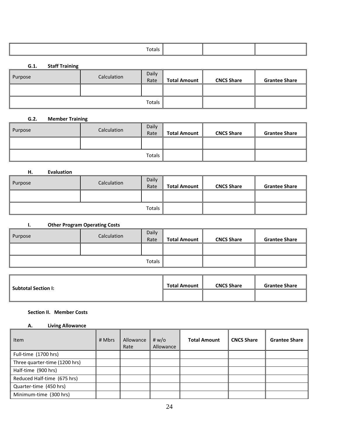| Totals |
|--------|

**G.1. Staff Training**

| . .     |             |               |                     |                   |                      |
|---------|-------------|---------------|---------------------|-------------------|----------------------|
| Purpose | Calculation | Daily<br>Rate | <b>Total Amount</b> | <b>CNCS Share</b> | <b>Grantee Share</b> |
|         |             |               |                     |                   |                      |
|         |             | Totals        |                     |                   |                      |

#### **G.2. Member Training**

| Purpose | Calculation | Daily<br>Rate | <b>Total Amount</b> | <b>CNCS Share</b> | <b>Grantee Share</b> |
|---------|-------------|---------------|---------------------|-------------------|----------------------|
|         |             |               |                     |                   |                      |
| Totals  |             |               |                     |                   |                      |

#### **H. Evaluation**

| Purpose | Calculation | Daily<br>Rate | <b>Total Amount</b> | <b>CNCS Share</b> | <b>Grantee Share</b> |
|---------|-------------|---------------|---------------------|-------------------|----------------------|
|         |             |               |                     |                   |                      |
| Totals  |             |               |                     |                   |                      |

#### **I. Other Program Operating Costs**

| Purpose | Calculation | <b>Daily</b><br>Rate | <b>Total Amount</b> | <b>CNCS Share</b> | <b>Grantee Share</b> |
|---------|-------------|----------------------|---------------------|-------------------|----------------------|
|         |             |                      |                     |                   |                      |
| Totals  |             |                      |                     |                   |                      |

| Subtotal Section I: | <b>Total Amount</b> | <b>CNCS Share</b> | <b>Grantee Share</b> |
|---------------------|---------------------|-------------------|----------------------|
|                     |                     |                   |                      |

## **Section II. Member Costs**

## **A. Living Allowance**

| Item                          | # Mbrs | Allowance<br>Rate | # $w$ / $\circ$<br>Allowance | <b>Total Amount</b> | <b>CNCS Share</b> | <b>Grantee Share</b> |
|-------------------------------|--------|-------------------|------------------------------|---------------------|-------------------|----------------------|
| Full-time (1700 hrs)          |        |                   |                              |                     |                   |                      |
| Three quarter-time (1200 hrs) |        |                   |                              |                     |                   |                      |
| Half-time (900 hrs)           |        |                   |                              |                     |                   |                      |
| Reduced Half-time (675 hrs)   |        |                   |                              |                     |                   |                      |
| Quarter-time (450 hrs)        |        |                   |                              |                     |                   |                      |
| Minimum-time (300 hrs)        |        |                   |                              |                     |                   |                      |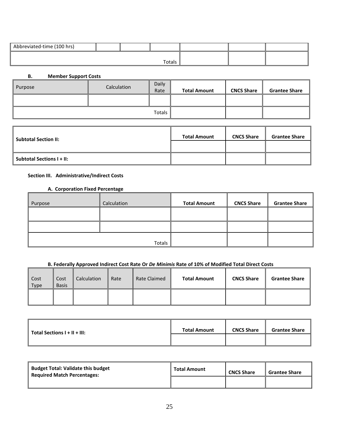| Abbreviated-time (100 hrs) |  |        |  |  |
|----------------------------|--|--------|--|--|
|                            |  |        |  |  |
|                            |  | Totals |  |  |

#### **B. Member Support Costs**

| Purpose | Calculation | Daily<br>Rate | <b>Total Amount</b> | <b>CNCS Share</b> | <b>Grantee Share</b> |
|---------|-------------|---------------|---------------------|-------------------|----------------------|
|         |             |               |                     |                   |                      |
| Totals  |             |               |                     |                   |                      |

| <b>Subtotal Section II:</b>      | <b>Total Amount</b> | <b>CNCS Share</b> | <b>Grantee Share</b> |
|----------------------------------|---------------------|-------------------|----------------------|
|                                  |                     |                   |                      |
| <b>Subtotal Sections I + II:</b> |                     |                   |                      |

# **Section III. Administrative/Indirect Costs**

#### **A. Corporation Fixed Percentage**

| Purpose | Calculation | <b>Total Amount</b> | <b>CNCS Share</b> | <b>Grantee Share</b> |
|---------|-------------|---------------------|-------------------|----------------------|
|         |             |                     |                   |                      |
|         |             |                     |                   |                      |
|         | Totals      |                     |                   |                      |

# **B. Federally Approved Indirect Cost Rate Or** *De Minimis* **Rate of 10% of Modified Total Direct Costs**

| Cost<br>Type | Cost<br><b>Basis</b> | Calculation | Rate | <b>Rate Claimed</b> | <b>Total Amount</b> | <b>CNCS Share</b> | <b>Grantee Share</b> |
|--------------|----------------------|-------------|------|---------------------|---------------------|-------------------|----------------------|
|              |                      |             |      |                     |                     |                   |                      |

| $\parallel$ Total Sections I + II + III: | <b>Total Amount</b> | <b>CNCS Share</b> | <b>Grantee Share</b> |
|------------------------------------------|---------------------|-------------------|----------------------|
|                                          |                     |                   |                      |

| Budget Total: Validate this budget<br>Required Match Percentages: | <b>Total Amount</b> | <b>CNCS Share</b> | <b>Grantee Share</b> |
|-------------------------------------------------------------------|---------------------|-------------------|----------------------|
|                                                                   |                     |                   |                      |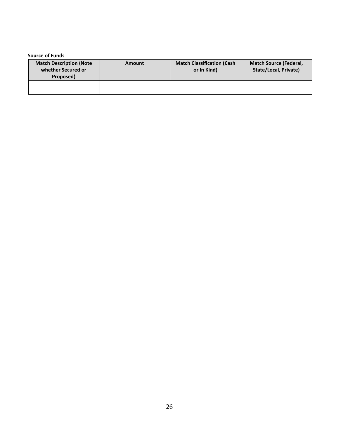| <b>Source of Funds</b>                                            |               |                                                  |                                                               |  |  |
|-------------------------------------------------------------------|---------------|--------------------------------------------------|---------------------------------------------------------------|--|--|
| <b>Match Description (Note</b><br>whether Secured or<br>Proposed) | <b>Amount</b> | <b>Match Classification (Cash</b><br>or In Kind) | <b>Match Source (Federal,</b><br><b>State/Local, Private)</b> |  |  |
|                                                                   |               |                                                  |                                                               |  |  |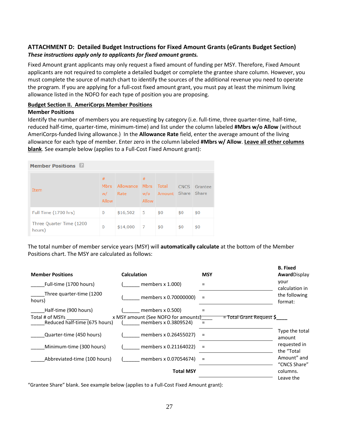# **ATTACHMENT D: Detailed Budget Instructions for Fixed Amount Grants (eGrants Budget Section)** *These instructions apply only to applicants for fixed amount grants.*

Fixed Amount grant applicants may only request a fixed amount of funding per MSY. Therefore, Fixed Amount applicants are not required to complete a detailed budget or complete the grantee share column. However, you must complete the source of match chart to identify the sources of the additional revenue you need to operate the program. If you are applying for a full-cost fixed amount grant, you must pay at least the minimum living allowance listed in the NOFO for each type of position you are proposing.

#### **Budget Section II. AmeriCorps Member Positions**

#### **Member Positions**

Identify the number of members you are requesting by category (i.e. full-time, three quarter-time, half-time, reduced half-time, quarter-time, minimum-time) and list under the column labeled **#Mbrs w/o Allow** (without AmeriCorps-funded living allowance.) In the **Allowance Rate** field, enter the average amount of the living allowance for each type of member. Enter zero in the column labeled **#Mbrs w/ Allow**. **Leave all other columns blank**. See example below (applies to a Full-Cost Fixed Amount grant):

| <b>Member Positions</b>             |                                 |                        |                   |                             |     |              |
|-------------------------------------|---------------------------------|------------------------|-------------------|-----------------------------|-----|--------------|
| Item                                | #<br><b>Mbrs</b><br>w/<br>Allow | Allowance Mbrs<br>Rate | #<br>w/o<br>Allow | Total<br>Amount Share Share |     | CNCS Grantee |
| Full Time (1700 hrs)                | $\bf{0}$                        | \$16,502               | $-5$              | \$0                         | \$0 | \$0          |
| Three Quarter Time (1200)<br>hours) | $\bf{0}$                        | \$14,000               | 7                 | \$0                         | \$0 | \$0          |

The total number of member service years (MSY) will **automatically calculate** at the bottom of the Member Positions chart. The MSY are calculated as follows:

| <b>Member Positions</b>                          | <b>Calculation</b>                                          | <b>MSY</b>                          | <b>B.</b> Fixed<br>AwardDisplay |
|--------------------------------------------------|-------------------------------------------------------------|-------------------------------------|---------------------------------|
| Full-time (1700 hours)                           | members $x$ 1.000)                                          | $=$                                 | vour<br>calculation in          |
| Three quarter-time (1200<br>hours)               | members x 0.70000000)                                       | $\equiv$                            | the following<br>format:        |
| Half-time (900 hours)                            | members $x$ 0.500)                                          |                                     |                                 |
| Total # of MSYs<br>Reduced half-time (675 hours) | x MSY amount (See NOFO for amounts)<br>members x 0.3809524) | <del>= Total Grant Request</del> \$ |                                 |
| Quarter-time (450 hours)                         | members x 0.26455027)                                       | Ξ                                   | Type the total<br>amount        |
| Minimum-time (300 hours)                         | members x 0.21164022)                                       | Ξ                                   | requested in<br>the "Total      |
| Abbreviated-time (100 hours)                     | members x 0.07054674)                                       | Ξ                                   | Amount" and<br>"CNCS Share"     |
|                                                  | <b>Total MSY</b>                                            |                                     | columns.<br>Leave the           |

"Grantee Share" blank. See example below (applies to a Full-Cost Fixed Amount grant):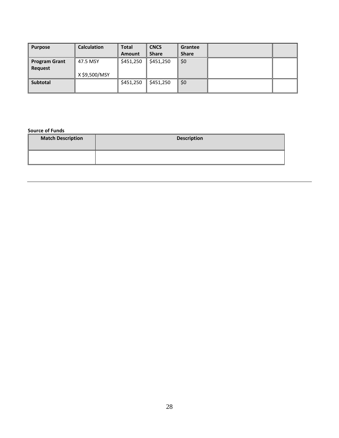| <b>Purpose</b>       | <b>Calculation</b> | Total     | <b>CNCS</b>  | Grantee      |  |
|----------------------|--------------------|-----------|--------------|--------------|--|
|                      |                    | Amount    | <b>Share</b> | <b>Share</b> |  |
| <b>Program Grant</b> | 47.5 MSY           | \$451,250 | \$451,250    | \$0          |  |
| Request              |                    |           |              |              |  |
|                      | X \$9,500/MSY      |           |              |              |  |
| <b>Subtotal</b>      |                    | \$451,250 | \$451,250    | \$0          |  |
|                      |                    |           |              |              |  |

**Source of Funds**

| <b>Match Description</b> | <b>Description</b> |
|--------------------------|--------------------|
|                          |                    |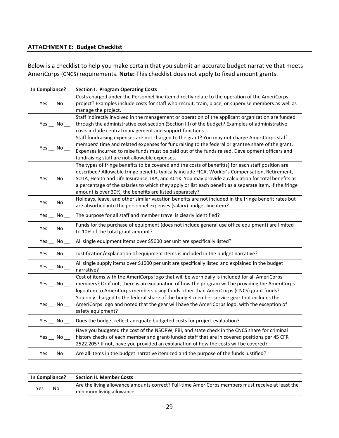# **ATTACHMENT E: Budget Checklist**

Below is a checklist to help you make certain that you submit an accurate budget narrative that meets AmeriCorps (CNCS) requirements. **Note:** This checklist does not apply to fixed amount grants.

| In Compliance?       | <b>Section I. Program Operating Costs</b>                                                                                                                                                                                                                                                                                                                                                                                                                                          |
|----------------------|------------------------------------------------------------------------------------------------------------------------------------------------------------------------------------------------------------------------------------------------------------------------------------------------------------------------------------------------------------------------------------------------------------------------------------------------------------------------------------|
| Yes $\_\_$ No $\_\_$ | Costs charged under the Personnel line item directly relate to the operation of the AmeriCorps<br>project? Examples include costs for staff who recruit, train, place, or supervise members as well as<br>manage the project.                                                                                                                                                                                                                                                      |
| Yes $\_\_$ No $\_\_$ | Staff indirectly involved in the management or operation of the applicant organization are funded<br>through the administrative cost section (Section III) of the budget? Examples of administrative<br>costs include central management and support functions.                                                                                                                                                                                                                    |
| Yes $\_\_$ No $\_\_$ | Staff fundraising expenses are not charged to the grant? You may not charge AmeriCorps staff<br>members' time and related expenses for fundraising to the federal or grantee share of the grant.<br>Expenses incurred to raise funds must be paid out of the funds raised. Development officers and<br>fundraising staff are not allowable expenses.                                                                                                                               |
| Yes $\_\_$ No $\_\_$ | The types of fringe benefits to be covered and the costs of benefit(s) for each staff position are<br>described? Allowable fringe benefits typically include FICA, Worker's Compensation, Retirement,<br>SUTA, Health and Life Insurance, IRA, and 401K. You may provide a calculation for total benefits as<br>a percentage of the salaries to which they apply or list each benefit as a separate item. If the fringe<br>amount is over 30%, the benefits are listed separately? |
| Yes $\_$ No $\_$     | Holidays, leave, and other similar vacation benefits are not included in the fringe benefit rates but<br>are absorbed into the personnel expenses (salary) budget line item?                                                                                                                                                                                                                                                                                                       |
| Yes $\_\_$ No $\_\_$ | The purpose for all staff and member travel is clearly identified?                                                                                                                                                                                                                                                                                                                                                                                                                 |
| Yes $\_\_$ No $\_\_$ | Funds for the purchase of equipment (does not include general use office equipment) are limited<br>to 10% of the total grant amount?                                                                                                                                                                                                                                                                                                                                               |
| Yes $\_\_$ No $\_\_$ | All single equipment items over \$5000 per unit are specifically listed?                                                                                                                                                                                                                                                                                                                                                                                                           |
| Yes $\_\$ No $\_\$   | Justification/explanation of equipment items is included in the budget narrative?                                                                                                                                                                                                                                                                                                                                                                                                  |
| Yes $\_\_$ No $\_\_$ | All single supply items over \$1000 per unit are specifically listed and explained in the budget<br>narrative?                                                                                                                                                                                                                                                                                                                                                                     |
| Yes $\_$ No $\_$     | Cost of items with the AmeriCorps logo that will be worn daily is included for all AmeriCorps<br>members? Or if not, there is an explanation of how the program will be providing the AmeriCorps<br>logo item to AmeriCorps members using funds other than AmeriCorps (CNCS) grant funds?                                                                                                                                                                                          |
| Yes $\_\_$ No $\_\_$ | You only charged to the federal share of the budget member service gear that includes the<br>AmeriCorps logo and noted that the gear will have the AmeriCorps logo, with the exception of<br>safety equipment?                                                                                                                                                                                                                                                                     |
| Yes $\_\_$ No $\_\_$ | Does the budget reflect adequate budgeted costs for project evaluation?                                                                                                                                                                                                                                                                                                                                                                                                            |
| Yes $\_$ No $\_$     | Have you budgeted the cost of the NSOPW, FBI, and state check in the CNCS share for criminal<br>history checks of each member and grant-funded staff that are in covered positions per 45 CFR<br>2522.205? If not, have you provided an explanation of how the costs will be covered?                                                                                                                                                                                              |
|                      | Yes $\sim$ No $\sim$   Are all items in the budget narrative itemized and the purpose of the funds justified?                                                                                                                                                                                                                                                                                                                                                                      |

| <b>In Compliance?</b> | <b>Section II. Member Costs</b>                                                                  |
|-----------------------|--------------------------------------------------------------------------------------------------|
| Yes                   | Are the living allowance amounts correct? Full-time AmeriCorps members must receive at least the |
| No.                   | minimum living allowance.                                                                        |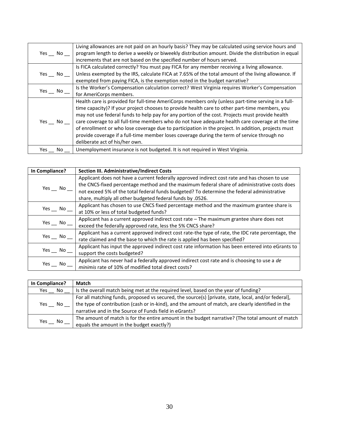| Yes No              | Living allowances are not paid on an hourly basis? They may be calculated using service hours and<br>program length to derive a weekly or biweekly distribution amount. Divide the distribution in equal                                                                                                                                                                                                                                                                                                                                                                                                                                           |
|---------------------|----------------------------------------------------------------------------------------------------------------------------------------------------------------------------------------------------------------------------------------------------------------------------------------------------------------------------------------------------------------------------------------------------------------------------------------------------------------------------------------------------------------------------------------------------------------------------------------------------------------------------------------------------|
|                     | increments that are not based on the specified number of hours served.                                                                                                                                                                                                                                                                                                                                                                                                                                                                                                                                                                             |
|                     | Is FICA calculated correctly? You must pay FICA for any member receiving a living allowance.                                                                                                                                                                                                                                                                                                                                                                                                                                                                                                                                                       |
| Yes No              | Unless exempted by the IRS, calculate FICA at 7.65% of the total amount of the living allowance. If                                                                                                                                                                                                                                                                                                                                                                                                                                                                                                                                                |
|                     | exempted from paying FICA, is the exemption noted in the budget narrative?                                                                                                                                                                                                                                                                                                                                                                                                                                                                                                                                                                         |
| Yes No              | Is the Worker's Compensation calculation correct? West Virginia requires Worker's Compensation                                                                                                                                                                                                                                                                                                                                                                                                                                                                                                                                                     |
|                     | for AmeriCorps members.                                                                                                                                                                                                                                                                                                                                                                                                                                                                                                                                                                                                                            |
| Yes $\_\,$ No $\_\$ | Health care is provided for full-time AmeriCorps members only (unless part-time serving in a full-<br>time capacity)? If your project chooses to provide health care to other part-time members, you<br>may not use federal funds to help pay for any portion of the cost. Projects must provide health<br>care coverage to all full-time members who do not have adequate health care coverage at the time<br>of enrollment or who lose coverage due to participation in the project. In addition, projects must<br>provide coverage if a full-time member loses coverage during the term of service through no<br>deliberate act of his/her own. |
| Yes<br>No           | Unemployment insurance is not budgeted. It is not required in West Virginia.                                                                                                                                                                                                                                                                                                                                                                                                                                                                                                                                                                       |

| In Compliance?       | <b>Section III. Administrative/Indirect Costs</b>                                                                                                                                                                                                                                                                                                        |
|----------------------|----------------------------------------------------------------------------------------------------------------------------------------------------------------------------------------------------------------------------------------------------------------------------------------------------------------------------------------------------------|
| Yes $\_\,$ No $\_\,$ | Applicant does not have a current federally approved indirect cost rate and has chosen to use<br>the CNCS-fixed percentage method and the maximum federal share of administrative costs does<br>not exceed 5% of the total federal funds budgeted? To determine the federal administrative<br>share, multiply all other budgeted federal funds by .0526. |
| Yes $\_\,$ No $\_\,$ | Applicant has chosen to use CNCS fixed percentage method and the maximum grantee share is<br>at 10% or less of total budgeted funds?                                                                                                                                                                                                                     |
| Yes $\_\,$ No $\_\,$ | Applicant has a current approved indirect cost rate - The maximum grantee share does not<br>exceed the federally approved rate, less the 5% CNCS share?                                                                                                                                                                                                  |
| Yes $\_\,$ No $\_\,$ | Applicant has a current approved indirect cost rate-the type of rate, the IDC rate percentage, the<br>rate claimed and the base to which the rate is applied has been specified?                                                                                                                                                                         |
| Yes No               | Applicant has input the approved indirect cost rate information has been entered into eGrants to<br>support the costs budgeted?                                                                                                                                                                                                                          |
| Yes<br>No l          | Applicant has never had a federally approved indirect cost rate and is choosing to use a de<br>minimis rate of 10% of modified total direct costs?                                                                                                                                                                                                       |

| In Compliance? | Match                                                                                                                                                                                                                                                               |
|----------------|---------------------------------------------------------------------------------------------------------------------------------------------------------------------------------------------------------------------------------------------------------------------|
| No.<br>Yes     | Is the overall match being met at the required level, based on the year of funding?                                                                                                                                                                                 |
| Yes<br>No.     | For all matching funds, proposed vs secured, the source(s) [private, state, local, and/or federal],<br>the type of contribution (cash or in-kind), and the amount of match, are clearly identified in the<br>narrative and in the Source of Funds field in eGrants? |
| No<br>Yes      | The amount of match is for the entire amount in the budget narrative? (The total amount of match<br>equals the amount in the budget exactly?)                                                                                                                       |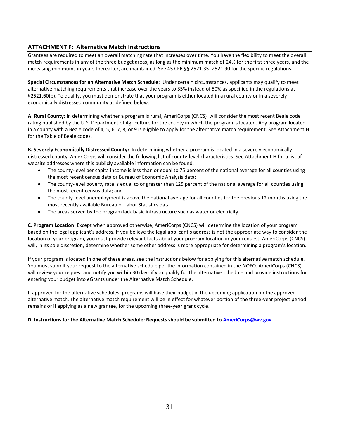# **ATTACHMENT F: Alternative Match Instructions**

Grantees are required to meet an overall matching rate that increases over time. You have the flexibility to meet the overall match requirements in any of the three budget areas, as long as the minimum match of 24% for the first three years, and the increasing minimums in years thereafter, are maintained. See 45 CFR §§ 2521.35–2521.90 for the specific regulations.

**Special Circumstances for an Alternative Match Schedule:** Under certain circumstances, applicants may qualify to meet alternative matching requirements that increase over the years to 35% instead of 50% as specified in the regulations at §2521.60(b). To qualify, you must demonstrate that your program is either located in a rural county or in a severely economically distressed community as defined below.

**A. Rural County:** In determining whether a program is rural, AmeriCorps (CNCS) will consider the most recent Beale code rating published by the U.S. Department of Agriculture for the county in which the program is located. Any program located in a county with a Beale code of 4, 5, 6, 7, 8, or 9 is eligible to apply for the alternative match requirement. See Attachment H for the Table of Beale codes.

**B. Severely Economically Distressed County:** In determining whether a program is located in a severely economically distressed county, AmeriCorps will consider the following list of county-level characteristics. See Attachment H for a list of website addresses where this publicly available information can be found.

- The county-level per capita income is less than or equal to 75 percent of the national average for all counties using the most recent census data or Bureau of Economic Analysis data;
- The county-level poverty rate is equal to or greater than 125 percent of the national average for all counties using the most recent census data; and
- The county-level unemployment is above the national average for all counties for the previous 12 months using the most recently available Bureau of Labor Statistics data.
- The areas served by the program lack basic infrastructure such as water or electricity.

**C. Program Location**: Except when approved otherwise, AmeriCorps (CNCS) will determine the location of your program based on the legal applicant's address. If you believe the legal applicant's address is not the appropriate way to consider the location of your program, you must provide relevant facts about your program location in your request. AmeriCorps (CNCS) will, in its sole discretion, determine whether some other address is more appropriate for determining a program's location.

If your program is located in one of these areas, see the instructions below for applying for this alternative match schedule. You must submit your request to the alternative schedule per the information contained in the NOFO. AmeriCorps (CNCS) will review your request and notify you within 30 days if you qualify for the alternative schedule and provide instructions for entering your budget into eGrants under the Alternative Match Schedule.

If approved for the alternative schedules, programs will base their budget in the upcoming application on the approved alternative match. The alternative match requirement will be in effect for whatever portion of the three-year project period remains or if applying as a new grantee, for the upcoming three-year grant cycle.

#### **D. Instructions for the Alternative Match Schedule: Requests should be submitted to [AmeriCorps@wv.gov](mailto:AmeriCorps@wv.gov)**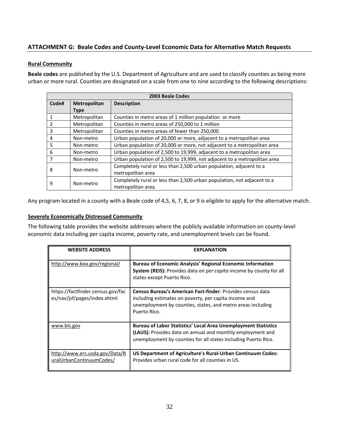# **ATTACHMENT G: Beale Codes and County-Level Economic Data for Alternative Match Requests**

#### **Rural Community**

**Beale codes** are published by the U.S. Department of Agriculture and are used to classify counties as being more urban or more rural. Counties are designated on a scale from one to nine according to the following descriptions:

| 2003 Beale Codes |              |                                                                          |  |  |
|------------------|--------------|--------------------------------------------------------------------------|--|--|
| Code#            | Metropolitan | <b>Description</b>                                                       |  |  |
|                  | <b>Type</b>  |                                                                          |  |  |
|                  | Metropolitan | Counties in metro areas of 1 million population or more                  |  |  |
| $\mathcal{P}$    | Metropolitan | Counties in metro areas of 250,000 to 1 million                          |  |  |
| 3                | Metropolitan | Counties in metro areas of fewer than 250,000                            |  |  |
| 4                | Non-metro    | Urban population of 20,000 or more, adjacent to a metropolitan area      |  |  |
| 5                | Non-metro    | Urban population of 20,000 or more, not adjacent to a metropolitan area  |  |  |
| 6                | Non-metro    | Urban population of 2,500 to 19,999, adjacent to a metropolitan area     |  |  |
| 7                | Non-metro    | Urban population of 2,500 to 19,999, not adjacent to a metropolitan area |  |  |
| 8                | Non-metro    | Completely rural or less than 2,500 urban population, adjacent to a      |  |  |
|                  |              | metropolitan area                                                        |  |  |
| 9                | Non-metro    | Completely rural or less than 2,500 urban population, not adjacent to a  |  |  |
|                  |              | metropolitan area                                                        |  |  |

Any program located in a county with a Beale code of 4,5, 6, 7, 8, or 9 is eligible to apply for the alternative match.

## **Severely Economically Distressed Community**

The following table provides the website addresses where the publicly available information on county-level economic data including per capita income, poverty rate, and unemployment levels can be found.

| <b>WEBSITE ADDRESS</b>                                            | <b>EXPLANATION</b>                                                                                                                                                                                    |
|-------------------------------------------------------------------|-------------------------------------------------------------------------------------------------------------------------------------------------------------------------------------------------------|
| http://www.bea.gov/regional/                                      | <b>Bureau of Economic Analysis' Regional Economic Information</b><br>System (REIS): Provides data on per capita income by county for all<br>states except Puerto Rico.                                |
| https://factfinder.census.gov/fac<br>es/nav/jsf/pages/index.xhtml | Census Bureau's American Fact-finder: Provides census data<br>including estimates on poverty, per capita income and<br>unemployment by counties, states, and metro areas including<br>Puerto Rico.    |
| www.bls.gov                                                       | <b>Bureau of Labor Statistics' Local Area Unemployment Statistics</b><br>(LAUS): Provides data on annual and monthly employment and<br>unemployment by counties for all states including Puerto Rico. |
| http://www.ers.usda.gov/Data/R<br>uralUrbanContinuumCodes/        | US Department of Agriculture's Rural-Urban Continuum Codes:<br>Provides urban rural code for all counties in US.                                                                                      |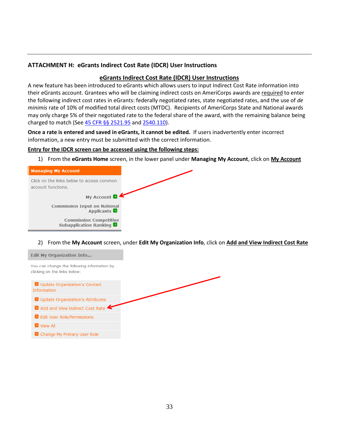# **ATTACHMENT H: eGrants Indirect Cost Rate (IDCR) User Instructions**

## **eGrants Indirect Cost Rate (IDCR) User Instructions**

A new feature has been introduced to eGrants which allows users to input Indirect Cost Rate information into their eGrants account. Grantees who will be claiming indirect costs on AmeriCorps awards are required to enter the following indirect cost rates in eGrants: federally negotiated rates, state negotiated rates, and the use of *de minimis* rate of 10% of modified total direct costs (MTDC). Recipients of AmeriCorps State and National awards may only charge 5% of their negotiated rate to the federal share of the award, with the remaining balance being charged to match (See [45 CFR §§ 2521.95](http://www.ecfr.gov/cgi-bin/text-idx?SID=2ea79b2eb0c09e5c1ad42ea96846484e&node=se45.4.2521_195&rgn=div8) and [2540.110\)](http://www.ecfr.gov/cgi-bin/text-idx?SID=2ea79b2eb0c09e5c1ad42ea96846484e&node=se45.4.2540_1110&rgn=div8).

**Once a rate is entered and saved in eGrants, it cannot be edited.** If users inadvertently enter incorrect information, a new entry must be submitted with the correct information.

#### **Entry for the IDCR screen can be accessed using the following steps:**

1) From the **eGrants Home** screen, in the lower panel under **Managing My Account**, click on **My Account**

| <b>Managing My Account</b>                                      |                   |
|-----------------------------------------------------------------|-------------------|
| Click on the links below to access common<br>account functions. |                   |
|                                                                 | My Account        |
| <b>Commission Input on National</b>                             | <b>Applicants</b> |
| <b>Commission Competitive</b><br>Subapplication Ranking         |                   |

2) From the **My Account** screen, under **Edit My Organization Info**, click on **Add and View Indirect Cost Rate**

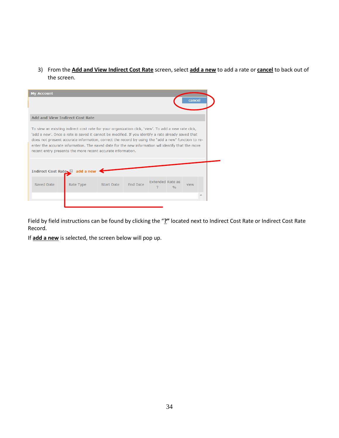3) From the **Add and View Indirect Cost Rate** screen, select **add a new** to add a rate or **cancel** to back out of the screen.

| <b>My Account</b>                                                                                                                                                                                                                                                                                                                                                                                                                                                                     |                              |                   |                 |                         |     | cancel |  |  |  |
|---------------------------------------------------------------------------------------------------------------------------------------------------------------------------------------------------------------------------------------------------------------------------------------------------------------------------------------------------------------------------------------------------------------------------------------------------------------------------------------|------------------------------|-------------------|-----------------|-------------------------|-----|--------|--|--|--|
| <b>Add and View Indirect Cost Rate</b>                                                                                                                                                                                                                                                                                                                                                                                                                                                |                              |                   |                 |                         |     |        |  |  |  |
| To view an existing indirect cost rate for your organization click, 'view'. To add a new rate click,<br>'add a new'. Once a rate is saved it cannot be modified. If you identify a rate already saved that<br>does not present accurate information, correct the record by using the "add a new" function to re-<br>enter the accurate information. The saved date for the new information will identify that the more<br>recent entry presents the more recent accurate information. |                              |                   |                 |                         |     |        |  |  |  |
|                                                                                                                                                                                                                                                                                                                                                                                                                                                                                       | Indirect Cost Rate and a new |                   |                 |                         |     |        |  |  |  |
| Saved Date                                                                                                                                                                                                                                                                                                                                                                                                                                                                            | Rate Type                    | <b>Start Date</b> | <b>End Date</b> | <b>Extended Rate as</b> | 0/6 | view   |  |  |  |
|                                                                                                                                                                                                                                                                                                                                                                                                                                                                                       |                              |                   |                 |                         |     |        |  |  |  |
|                                                                                                                                                                                                                                                                                                                                                                                                                                                                                       |                              |                   |                 |                         |     |        |  |  |  |

Field by field instructions can be found by clicking the "**?"** located next to Indirect Cost Rate or Indirect Cost Rate Record.

If **add a new** is selected, the screen below will pop up.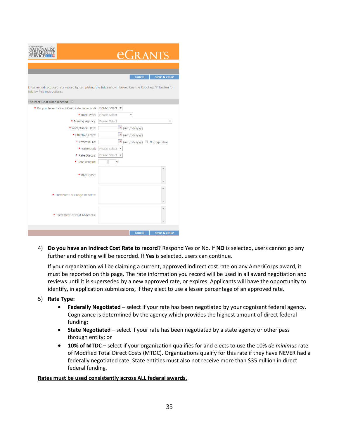| Corporation fo<br>SERVIO                                                                                                                 | eCRANTS                   |                            |              |  |  |  |
|------------------------------------------------------------------------------------------------------------------------------------------|---------------------------|----------------------------|--------------|--|--|--|
|                                                                                                                                          |                           |                            |              |  |  |  |
|                                                                                                                                          |                           |                            |              |  |  |  |
|                                                                                                                                          |                           | cancel                     | save & close |  |  |  |
| Enter an indirect cost rate record by completing the fields shown below. Use the RoboHelp '?' button for<br>field by field instructions. |                           |                            |              |  |  |  |
| <b>Indirect Cost Rate Record</b>                                                                                                         |                           |                            |              |  |  |  |
| * Do you have Indirect Cost Rate to record?                                                                                              | Please Select ▼           |                            |              |  |  |  |
| * Rate Type:                                                                                                                             | Please Select             |                            |              |  |  |  |
| * Issuing Agency:                                                                                                                        | <b>Please Select</b>      |                            |              |  |  |  |
| * Acceptance Date:                                                                                                                       | $\Box$ (mm/dd/yyyy)       |                            |              |  |  |  |
| * Effective From:                                                                                                                        | $\mathbb{H}$ (mm/dd/yyyy) |                            |              |  |  |  |
| * Effective To:                                                                                                                          |                           | (mm/dd/yyyy) No Expiration |              |  |  |  |
| * Extended?                                                                                                                              | Please Select ▼           |                            |              |  |  |  |
| * Rate Status:                                                                                                                           | Please Select ▼           |                            |              |  |  |  |
| * Rate Percent:                                                                                                                          | $\frac{0}{0}$             |                            |              |  |  |  |
| * Rate Base:                                                                                                                             |                           |                            |              |  |  |  |
| * Treatment of Fringe Benefits:                                                                                                          |                           |                            | À            |  |  |  |
| * Treatment of Paid Absences:                                                                                                            |                           |                            | Á            |  |  |  |
|                                                                                                                                          |                           |                            |              |  |  |  |
|                                                                                                                                          |                           | cancel                     | save & close |  |  |  |

4) **Do you have an Indirect Cost Rate to record?** Respond Yes or No. If **NO** is selected, users cannot go any further and nothing will be recorded. If **Yes** is selected, users can continue.

If your organization will be claiming a current, approved indirect cost rate on any AmeriCorps award, it must be reported on this page. The rate information you record will be used in all award negotiation and reviews until it is superseded by a new approved rate, or expires. Applicants will have the opportunity to identify, in application submissions, if they elect to use a lesser percentage of an approved rate.

- 5) **Rate Type:** 
	- **Federally Negotiated –** select if your rate has been negotiated by your cognizant federal agency. Cognizance is determined by the agency which provides the highest amount of direct federal funding;
	- **State Negotiated –** select if your rate has been negotiated by a state agency or other pass through entity; or
	- **10% of MTDC**  select if your organization qualifies for and elects to use the 10% *de minimus* rate of Modified Total Direct Costs (MTDC). Organizations qualify for this rate if they have NEVER had a federally negotiated rate. State entities must also not receive more than \$35 million in direct federal funding.

#### **Rates must be used consistently across ALL federal awards.**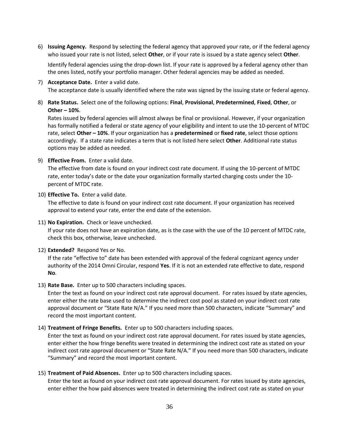6) **Issuing Agency.** Respond by selecting the federal agency that approved your rate, or if the federal agency who issued your rate is not listed, select **Other**, or if your rate is issued by a state agency select **Other**.

Identify federal agencies using the drop-down list. If your rate is approved by a federal agency other than the ones listed, notify your portfolio manager. Other federal agencies may be added as needed.

- 7) **Acceptance Date.** Enter a valid date. The acceptance date is usually identified where the rate was signed by the issuing state or federal agency.
- 8) **Rate Status.** Select one of the following options: **Final**, **Provisional**, **Predetermined**, **Fixed**, **Other**, or **Other – 10%**.

Rates issued by federal agencies will almost always be final or provisional. However, if your organization has formally notified a federal or state agency of your eligibility and intent to use the 10-percent of MTDC rate, select **Other – 10%**. If your organization has a **predetermined** or **fixed rate**, select those options accordingly. If a state rate indicates a term that is not listed here select **Other**. Additional rate status options may be added as needed.

9) **Effective From.** Enter a valid date.

The effective from date is found on your indirect cost rate document. If using the 10-percent of MTDC rate, enter today's date or the date your organization formally started charging costs under the 10 percent of MTDC rate.

10) **Effective To.** Enter a valid date.

The effective to date is found on your indirect cost rate document. If your organization has received approval to extend your rate, enter the end date of the extension.

11) **No Expiration.** Check or leave unchecked.

If your rate does not have an expiration date, as is the case with the use of the 10 percent of MTDC rate, check this box, otherwise, leave unchecked.

12) **Extended?** Respond Yes or No.

If the rate "effective to" date has been extended with approval of the federal cognizant agency under authority of the 2014 Omni Circular, respond **Yes**. If it is not an extended rate effective to date, respond **No**.

13) **Rate Base.** Enter up to 500 characters including spaces.

Enter the text as found on your indirect cost rate approval document. For rates issued by state agencies, enter either the rate base used to determine the indirect cost pool as stated on your indirect cost rate approval document or "State Rate N/A." If you need more than 500 characters, indicate "Summary" and record the most important content.

#### 14) **Treatment of Fringe Benefits.** Enter up to 500 characters including spaces.

Enter the text as found on your indirect cost rate approval document. For rates issued by state agencies, enter either the how fringe benefits were treated in determining the indirect cost rate as stated on your indirect cost rate approval document or "State Rate N/A." If you need more than 500 characters, indicate "Summary" and record the most important content.

#### 15) **Treatment of Paid Absences.** Enter up to 500 characters including spaces.

Enter the text as found on your indirect cost rate approval document. For rates issued by state agencies, enter either the how paid absences were treated in determining the indirect cost rate as stated on your